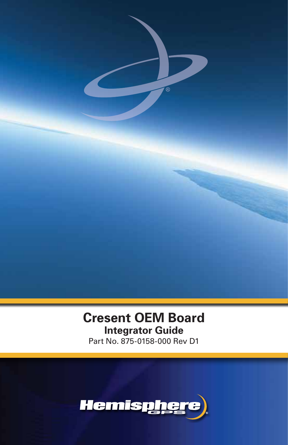

# **Cresent OEM Board Integrator Guide** Part No. Part No. 875-0158-000 Rev D1

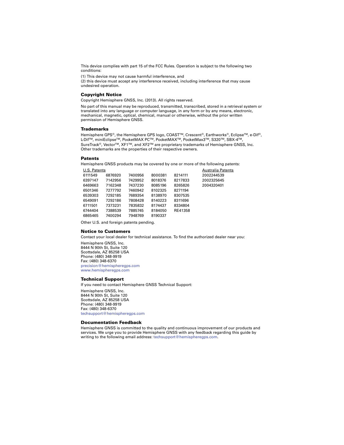This device complies with part 15 of the FCC Rules. Operation is subject to the following two conditions:

(1) This device may not cause harmful interference, and

(2) this device must accept any interference received, including interference that may cause undesired operation.

#### **Copyright Notice**

Copyright Hemisphere GNSS, Inc. (2013). All rights reserved.

No part of this manual may be reproduced, transmitted, transcribed, stored in a retrieval system or translated into any language or computer language, in any form or by any means, electronic, mechanical, magnetic, optical, chemical, manual or otherwise, without the prior written permission of Hemisphere GNSS.

#### **Trademarks**

Hemisphere GPS®, the Hemisphere GPS logo, COAST™, Crescent®, Earthworks®, Eclipse™, e-Dif®, L-DifTM, miniEclipseTM, PocketMAX PCTM, PocketMAXTM, PocketMax3TM, S320TM, SBX-4TM, SureTrack<sup>®</sup>, Vector™, XF1™, and XF2<sup>™</sup> are proprietary trademarks of Hemisphere GNSS, Inc. Other trademarks are the properties of their respective owners.

#### **Patents**

Hemisphere GNSS products may be covered by one or more of the following patents:

| U.S. Patents |         |         |         |         | Australia Patents |
|--------------|---------|---------|---------|---------|-------------------|
| 6111549      | 6876920 | 7400956 | 8000381 | 8214111 | 2002244539        |
| 6397147      | 7142956 | 7429952 | 8018376 | 8217833 | 2002325645        |
| 6469663      | 7162348 | 7437230 | 8085196 | 8265826 | 2004320401        |
| 6501346      | 7277792 | 7460942 | 8102325 | 8271194 |                   |
| 6539303      | 7292185 | 7689354 | 8138970 | 8307535 |                   |
| 6549091      | 7292186 | 7808428 | 8140223 | 8311696 |                   |
| 6711501      | 7373231 | 7835832 | 8174437 | 8334804 |                   |
| 6744404      | 7388539 | 7885745 | 8184050 | RE41358 |                   |
| 6865465      | 7400294 | 7948769 | 8190337 |         |                   |

Other U.S. and foreign patents pending.

#### **Notice to Customers**

Contact your local dealer for technical assistance. To find the authorized dealer near you:

Hemisphere GNSS, Inc. 8444 N 90th St, Suite 120 Scottsdale, AZ 85258 USA Phone: (480) 348-9919 Fax: (480) 348-6370 [precision@hemispheregps.com](mailto:precision@hemispheregps.com) [www.hemispheregps.com](http://www.hemispheregps.com)

#### <span id="page-1-0"></span>**Technical Support**

If you need to contact Hemisphere GNSS Technical Support:

Hemisphere GNSS, Inc. 8444 N 90th St, Suite 120 Scottsdale, AZ 85258 USA Phone: (480) 348-9919 Fax: (480) 348-6370 [techsupport@hemispheregps.com](mailto:techsupport@hemispheregps.com)

#### **Documentation Feedback**

Hemisphere GNSS is committed to the quality and continuous improvement of our products and services. We urge you to provide Hemisphere GNSS with any feedback regarding this guide by writing to the following email address: [techsupport@hemispheregps.com](mailto:techsupport@hemispheregps.com).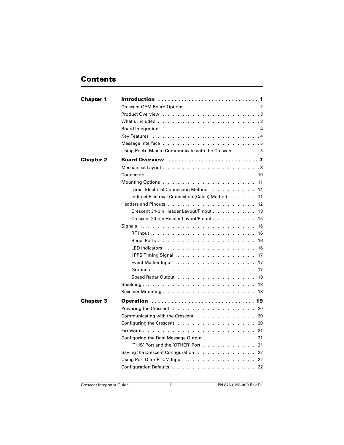## **Contents**

| <b>Chapter 1</b> | Introduction  1                                                                                   |  |
|------------------|---------------------------------------------------------------------------------------------------|--|
|                  |                                                                                                   |  |
|                  |                                                                                                   |  |
|                  |                                                                                                   |  |
|                  |                                                                                                   |  |
|                  |                                                                                                   |  |
|                  |                                                                                                   |  |
|                  | Using PocketMax to Communicate with the Crescent 5                                                |  |
| <b>Chapter 2</b> |                                                                                                   |  |
|                  |                                                                                                   |  |
|                  |                                                                                                   |  |
|                  |                                                                                                   |  |
|                  | Direct Electrical Connection Method  11                                                           |  |
|                  | Indirect Electrical Connection (Cable) Method  11                                                 |  |
|                  |                                                                                                   |  |
|                  | Crescent 34-pin Header Layout/Pinout 13                                                           |  |
|                  | Crescent 20-pin Header Layout/Pinout  15                                                          |  |
|                  | Signals                                                                                           |  |
|                  |                                                                                                   |  |
|                  |                                                                                                   |  |
|                  |                                                                                                   |  |
|                  |                                                                                                   |  |
|                  |                                                                                                   |  |
|                  |                                                                                                   |  |
|                  |                                                                                                   |  |
|                  |                                                                                                   |  |
|                  |                                                                                                   |  |
|                  |                                                                                                   |  |
| <b>Chapter 3</b> | Operation  19                                                                                     |  |
|                  |                                                                                                   |  |
|                  |                                                                                                   |  |
|                  |                                                                                                   |  |
|                  |                                                                                                   |  |
|                  |                                                                                                   |  |
|                  |                                                                                                   |  |
|                  |                                                                                                   |  |
|                  | Using Port D for RTCM Input $\ldots \ldots \ldots \ldots \ldots \ldots \ldots \ldots \ldots$ . 22 |  |
|                  |                                                                                                   |  |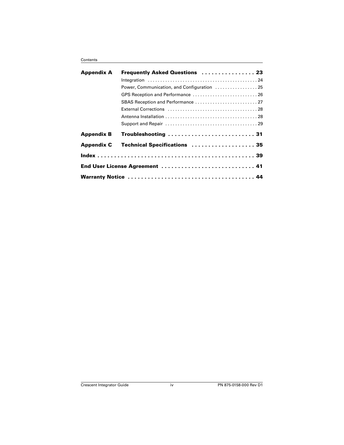| <b>Appendix A</b> | <b>Frequently Asked Questions  23</b>       |
|-------------------|---------------------------------------------|
|                   |                                             |
|                   | Power, Communication, and Configuration  25 |
|                   |                                             |
|                   |                                             |
|                   |                                             |
|                   |                                             |
|                   |                                             |
| <b>Appendix B</b> | Troubleshooting  31                         |
| <b>Appendix C</b> | Technical Specifications  35                |
|                   |                                             |
|                   | End User License Agreement  41              |
|                   |                                             |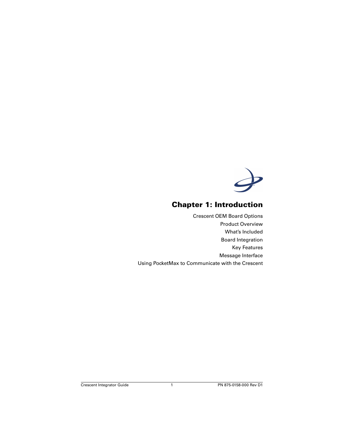

# **Chapter 1: Introduction**

<span id="page-5-0"></span>[Crescent OEM Board Options](#page-6-0) [Product Overview](#page-7-0) [What's Included](#page-7-1) [Board Integration](#page-8-0) [Key Features](#page-8-1) [Message Interface](#page-9-0) [Using PocketMax to Communicate with the Crescent](#page-9-1)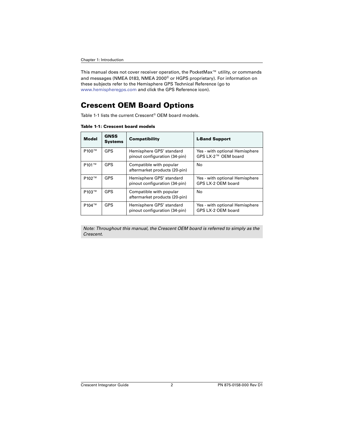<span id="page-6-4"></span><span id="page-6-3"></span>This manual does not cover receiver operation, the PocketMax™ utility, or commands and messages (NMEA 0183, NMEA 2000® or HGPS proprietary). For information on these subjects refer to the Hemisphere GPS Technical Reference (go to [www.hemispheregps.com](http://www.hemispheregps.com) and click the GPS Reference icon).

## <span id="page-6-0"></span>**Crescent OEM Board Options**

[Table 1-1](#page-6-1) lists the current Crescent® OEM board models.

| <b>Model</b> | <b>GNSS</b><br><b>Systems</b> | <b>Compatibility</b>                                      | <b>L-Band Support</b>                                 |
|--------------|-------------------------------|-----------------------------------------------------------|-------------------------------------------------------|
| P100™        | <b>GPS</b>                    | Hemisphere GPS' standard<br>pinout configuration (34-pin) | Yes - with optional Hemisphere<br>GPS LX-2™ OEM board |
| P101™        | <b>GPS</b>                    | Compatible with popular<br>aftermarket products (20-pin)  | No                                                    |
| P102™        | <b>GPS</b>                    | Hemisphere GPS' standard<br>pinout configuration (34-pin) | Yes - with optional Hemisphere<br>GPS LX-2 OEM board  |
| P103™        | <b>GPS</b>                    | Compatible with popular<br>aftermarket products (20-pin)  | No                                                    |
| P104™        | <b>GPS</b>                    | Hemisphere GPS' standard<br>pinout configuration (34-pin) | Yes - with optional Hemisphere<br>GPS LX-2 OEM board  |

<span id="page-6-2"></span><span id="page-6-1"></span>**Table 1-1: Crescent board models**

*Note: Throughout this manual, the Crescent OEM board is referred to simply as the Crescent.*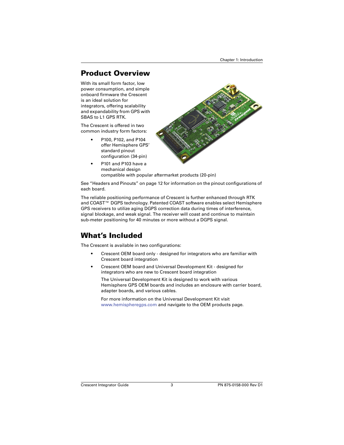# <span id="page-7-0"></span>**Product Overview**

With its small form factor, low power consumption, and simple onboard firmware the Crescent is an ideal solution for integrators, offering scalability and expandability from GPS with SBAS to L1 GPS RTK.

The Crescent is offered in two common industry form factors:

> <span id="page-7-3"></span>• P100, P102, and P104 offer Hemisphere GPS' standard pinout configuration (34-pin)



• P101 and P103 have a mechanical design compatible with popular aftermarket products (20-pin)

See ["Headers and Pinouts" on page 12](#page-16-1) for information on the pinout configurations of each board.

<span id="page-7-2"></span>The reliable positioning performance of Crescent is further enhanced through RTK and COAST™ DGPS technology. Patented COAST software enables select Hemisphere GPS receivers to utilize aging DGPS correction data during times of interference, signal blockage, and weak signal. The receiver will coast and continue to maintain sub-meter positioning for 40 minutes or more without a DGPS signal.

# <span id="page-7-1"></span>**What's Included**

The Crescent is available in two configurations:

- <span id="page-7-4"></span>• Crescent OEM board only - designed for integrators who are familiar with Crescent board integration
- Crescent OEM board and Universal Development Kit designed for integrators who are new to Crescent board integration

The Universal Development Kit is designed to work with various Hemisphere GPS OEM boards and includes an enclosure with carrier board, adapter boards, and various cables.

For more information on the Universal Development Kit visit [www.hemispheregps.com](http://www.hemispheregps.com) and navigate to the OEM products page.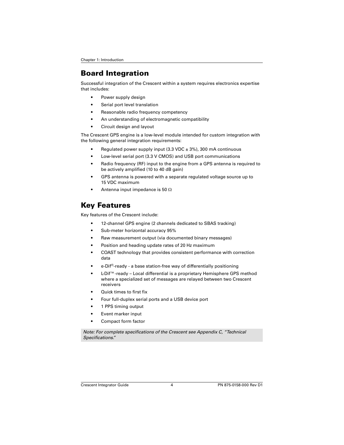# <span id="page-8-3"></span><span id="page-8-0"></span>**Board Integration**

Successful integration of the Crescent within a system requires electronics expertise that includes:

- Power supply design
- Serial port level translation
- Reasonable radio frequency competency
- An understanding of electromagnetic compatibility
- Circuit design and layout

The Crescent GPS engine is a low-level module intended for custom integration with the following general integration requirements:

- Regulated power supply input (3.3 VDC  $\pm$  3%), 300 mA continuous
- Low-level serial port (3.3 V CMOS) and USB port communications
- Radio frequency (RF) input to the engine from a GPS antenna is required to be actively amplified (10 to 40 dB gain)
- GPS antenna is powered with a separate regulated voltage source up to 15 VDC maximum
- <span id="page-8-5"></span>Antenna input impedance is 50  $\Omega$

# <span id="page-8-1"></span>**Key Features**

Key features of the Crescent include:

- 12-channel GPS engine (2 channels dedicated to SBAS tracking)
- Sub-meter horizontal accuracy 95%
- <span id="page-8-2"></span>• Raw measurement output (via documented binary messages)
- Position and heading update rates of 20 Hz maximum
- <span id="page-8-4"></span>• COAST technology that provides consistent performance with correction data
- <span id="page-8-6"></span>• e-Dif®-ready - a base station-free way of differentially positioning
- <span id="page-8-7"></span>• L-Dif™-ready – Local differential is a proprietary Hemisphere GPS method where a specialized set of messages are relayed between two Crescent receivers
- Quick times to first fix
- Four full-duplex serial ports and a USB device port
- 1 PPS timing output
- Event marker input
- Compact form factor

*Note: For complete specifications of the Crescent see [Appendix C, "Technical](#page-39-1)  [Specifications."](#page-39-1)*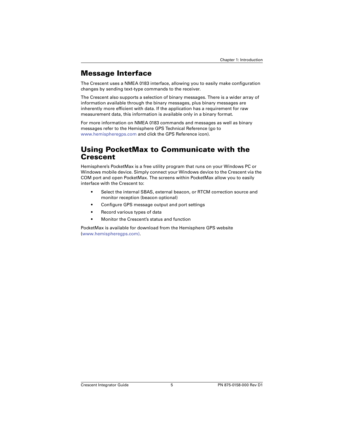## <span id="page-9-0"></span>**Message Interface**

The Crescent uses a NMEA 0183 interface, allowing you to easily make configuration changes by sending text-type commands to the receiver.

The Crescent also supports a selection of binary messages. There is a wider array of information available through the binary messages, plus binary messages are inherently more efficient with data. If the application has a requirement for raw measurement data, this information is available only in a binary format.

For more information on NMEA 0183 commands and messages as well as binary messages refer to the Hemisphere GPS Technical Reference (go to [www.hemispheregps.com](http://www.hemispheregps.com) and click the GPS Reference icon).

## <span id="page-9-2"></span><span id="page-9-1"></span>**Using PocketMax to Communicate with the Crescent**

Hemisphere's PocketMax is a free utility program that runs on your Windows PC or Windows mobile device. Simply connect your Windows device to the Crescent via the COM port and open PocketMax. The screens within PocketMax allow you to easily interface with the Crescent to:

- Select the internal SBAS, external beacon, or RTCM correction source and monitor reception (beacon optional)
- Configure GPS message output and port settings
- Record various types of data
- Monitor the Crescent's status and function

PocketMax is available for download from the Hemisphere GPS website (www.hemispheregps.com).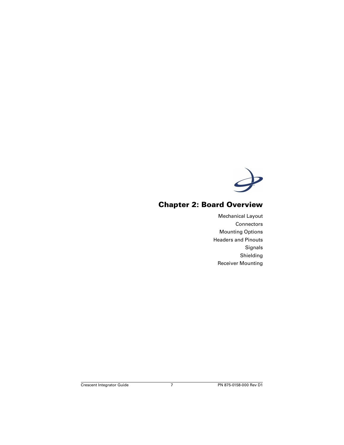

## <span id="page-11-0"></span>**Chapter 2: Board Overview**

[Mechanical Layout](#page-12-0) **[Connectors](#page-14-0)** [Mounting Options](#page-15-0) [Headers and Pinouts](#page-16-0) [Signals](#page-20-0) [Shielding](#page-22-1) [Receiver Mounting](#page-22-2)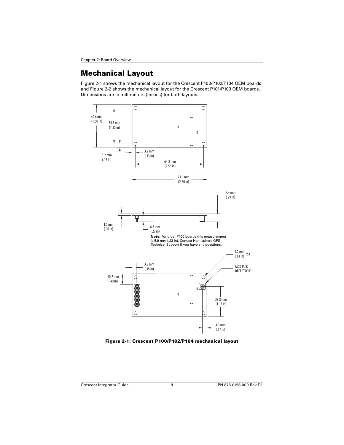# <span id="page-12-0"></span>**Mechanical Layout**

[Figure 2-1](#page-12-1) shows the mechanical layout for the Crescent P100/P102/P104 OEM boards and [Figure 2-2](#page-13-0) shows the mechanical layout for the Crescent P101/P103 OEM boards. Dimensions are in millimeters (inches) for both layouts.

<span id="page-12-2"></span>

<span id="page-12-1"></span>**Figure 2-1: Crescent P100/P102/P104 mechanical layout**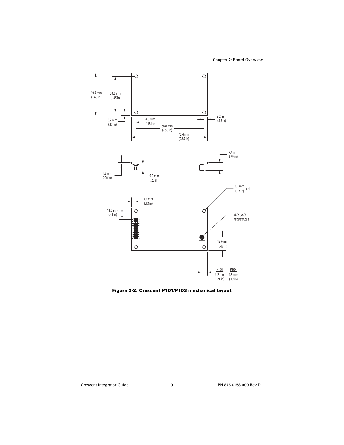

<span id="page-13-0"></span>**Figure 2-2: Crescent P101/P103 mechanical layout**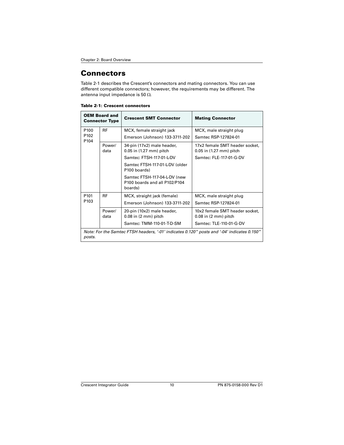## <span id="page-14-3"></span><span id="page-14-0"></span>**Connectors**

[Table 2-1](#page-14-1) describes the Crescent's connectors and mating connectors. You can use different compatible connectors; however, the requirements may be different. The antenna input impedance is 50  $\Omega$ .

<span id="page-14-4"></span><span id="page-14-1"></span>

| Table 2-1: Crescent connectors |
|--------------------------------|
|--------------------------------|

<span id="page-14-5"></span><span id="page-14-2"></span>

| <b>OEM Board and</b><br><b>Connector Type</b> |                | <b>Crescent SMT Connector</b>                                                              | <b>Mating Connector</b>                                   |
|-----------------------------------------------|----------------|--------------------------------------------------------------------------------------------|-----------------------------------------------------------|
| P <sub>100</sub>                              | <b>RF</b>      | MCX, female straight jack                                                                  | MCX, male straight plug                                   |
| P <sub>102</sub><br>P <sub>104</sub>          |                | Emerson (Johnson) 133-3711-202                                                             | Samtec RSP-127824-01                                      |
|                                               | Power/<br>data | 34-pin (17x2) male header,<br>0.05 in (1.27 mm) pitch                                      | 17x2 female SMT header socket.<br>0.05 in (1.27 mm) pitch |
|                                               |                | Samtec: FTSH-117-01-L-DV                                                                   | Samtec: FLE-117-01-G-DV                                   |
|                                               |                | Samtec FTSH-117-01-L-DV (older<br>P100 boards)                                             |                                                           |
|                                               |                | Samtec FTSH-117-04-L-DV (new<br>P100 boards and all P102/P104<br>boards)                   |                                                           |
| P <sub>101</sub>                              | <b>RF</b>      | MCX, straight jack (female)                                                                | MCX, male straight plug                                   |
| P <sub>103</sub>                              |                | Emerson (Johnson) 133-3711-202                                                             | Samtec RSP-127824-01                                      |
|                                               | Power/         | 20-pin (10x2) male header,                                                                 | 10x2 female SMT header socket,                            |
| data                                          |                | $0.08$ in $(2 \text{ mm})$ pitch                                                           | $0.08$ in $(2 \text{ mm})$ pitch                          |
|                                               |                | Samtec: TMM-110-01-T-D-SM                                                                  | Samtec: TLE-110-01-G-DV                                   |
|                                               |                | Note: For the Samtec FTSH headers, '-01' indicates 0.120" posts and '-04' indicates 0.150" |                                                           |

*posts.*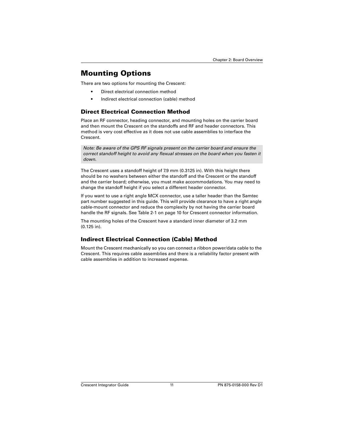# <span id="page-15-0"></span>**Mounting Options**

There are two options for mounting the Crescent:

- <span id="page-15-7"></span>• Direct electrical connection method
- <span id="page-15-4"></span><span id="page-15-3"></span>• Indirect electrical connection (cable) method

### <span id="page-15-1"></span>**Direct Electrical Connection Method**

Place an RF connector, heading connector, and mounting holes on the carrier board and then mount the Crescent on the standoffs and RF and header connectors. This method is very cost effective as it does not use cable assemblies to interface the Crescent.

*Note: Be aware of the GPS RF signals present on the carrier board and ensure the correct standoff height to avoid any flexual stresses on the board when you fasten it down.*

The Crescent uses a standoff height of 7.9 mm (0.3125 in). With this height there should be no washers between either the standoff and the Crescent or the standoff and the carrier board; otherwise, you must make accommodations. You may need to change the standoff height if you select a different header connector.

<span id="page-15-6"></span>If you want to use a right angle MCX connector, use a taller header than the Samtec part number suggested in this guide. This will provide clearance to have a right angle cable-mount connector and reduce the complexity by not having the carrier board handle the RF signals. See [Table 2-1 on page 10](#page-14-1) for Crescent connector information.

The mounting holes of the Crescent have a standard inner diameter of 3.2 mm (0.125 in).

## <span id="page-15-5"></span><span id="page-15-2"></span>**Indirect Electrical Connection (Cable) Method**

Mount the Crescent mechanically so you can connect a ribbon power/data cable to the Crescent. This requires cable assemblies and there is a reliability factor present with cable assemblies in addition to increased expense.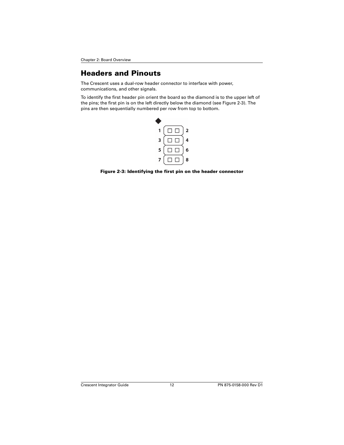# <span id="page-16-1"></span><span id="page-16-0"></span>**Headers and Pinouts**

<span id="page-16-3"></span>The Crescent uses a dual-row header connector to interface with power, communications, and other signals.

To identify the first header pin orient the board so the diamond is to the upper left of the pins; the first pin is on the left directly below the diamond (see [Figure 2-3](#page-16-2)). The pins are then sequentially numbered per row from top to bottom.



<span id="page-16-2"></span>**Figure 2-3: Identifying the first pin on the header connector**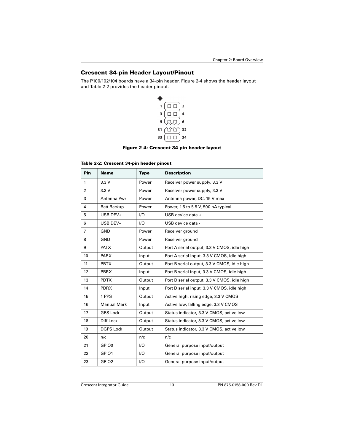### <span id="page-17-0"></span>**Crescent 34-pin Header Layout/Pinout**

The P100/102/104 boards have a 34-pin header. [Figure 2-4](#page-17-1) shows the header layout and [Table 2-2](#page-17-2) provides the header pinout.

<span id="page-17-3"></span>

#### **Figure 2-4: Crescent 34-pin header layout**

<span id="page-17-2"></span><span id="page-17-1"></span>

|  | Table 2-2: Crescent 34-pin header pinout |  |  |  |
|--|------------------------------------------|--|--|--|
|--|------------------------------------------|--|--|--|

| Pin            | <b>Name</b>        | <b>Type</b> | <b>Description</b>                          |
|----------------|--------------------|-------------|---------------------------------------------|
| 1              | 3.3V               | Power       | Receiver power supply, 3.3 V                |
| $\overline{2}$ | 3.3V               | Power       | Receiver power supply, 3.3 V                |
| 3              | Antenna Pwr        | Power       | Antenna power, DC, 15 V max                 |
| 4              | <b>Batt Backup</b> | Power       | Power, 1.5 to 5.5 V, 500 nA typical         |
| 5              | USB DEV+           | 1/O         | USB device data +                           |
| 6              | <b>USB DEV-</b>    | 1/O         | USB device data -                           |
| $\overline{7}$ | GND                | Power       | Receiver ground                             |
| 8              | <b>GND</b>         | Power       | Receiver ground                             |
| 9              | <b>PATX</b>        | Output      | Port A serial output, 3.3 V CMOS, idle high |
| 10             | <b>PARX</b>        | Input       | Port A serial input, 3.3 V CMOS, idle high  |
| 11             | <b>PBTX</b>        | Output      | Port B serial output, 3.3 V CMOS, idle high |
| 12             | <b>PBRX</b>        | Input       | Port B serial input, 3.3 V CMOS, idle high  |
| 13             | <b>PDTX</b>        | Output      | Port D serial output, 3.3 V CMOS, idle high |
| 14             | <b>PDRX</b>        | Input       | Port D serial input, 3.3 V CMOS, idle high  |
| 15             | 1 PPS              | Output      | Active high, rising edge, 3.3 V CMOS        |
| 16             | <b>Manual Mark</b> | Input       | Active low, falling edge, 3.3 V CMOS        |
| 17             | <b>GPS Lock</b>    | Output      | Status indicator, 3.3 V CMOS, active low    |
| 18             | Diff Lock          | Output      | Status indicator, 3.3 V CMOS, active low    |
| 19             | <b>DGPS Lock</b>   | Output      | Status indicator, 3.3 V CMOS, active low    |
| 20             | n/c                | n/c         | n/c                                         |
| 21             | GPIO0              | 1/O         | General purpose input/output                |
| 22             | GPIO1              | UQ          | General purpose input/output                |
| 23             | GPIO <sub>2</sub>  | 1/O         | General purpose input/output                |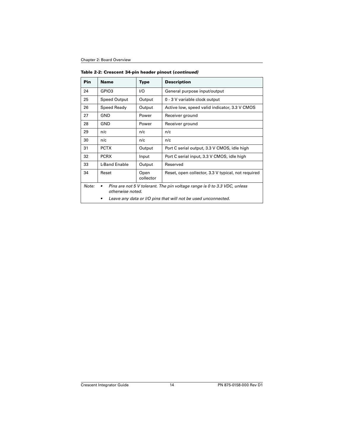| Pin   | <b>Name</b>                                                                                               | <b>Type</b>       | <b>Description</b>                                 |
|-------|-----------------------------------------------------------------------------------------------------------|-------------------|----------------------------------------------------|
| 24    | GPIO3                                                                                                     | I/O               | General purpose input/output                       |
| 25    | <b>Speed Output</b>                                                                                       | Output            | 0 - 3 V variable clock output                      |
| 26    | Speed Ready                                                                                               | Output            | Active low, speed valid indicator, 3.3 V CMOS      |
| 27    | GND                                                                                                       | Power             | Receiver ground                                    |
| 28    | GND                                                                                                       | Power             | Receiver ground                                    |
| 29    | n/c                                                                                                       | n/c               | n/c                                                |
| 30    | n/c                                                                                                       | n/c               | n/c                                                |
| 31    | <b>PCTX</b>                                                                                               | Output            | Port C serial output, 3.3 V CMOS, idle high        |
| 32    | <b>PCRX</b>                                                                                               | Input             | Port C serial input, 3.3 V CMOS, idle high         |
| 33    | L-Band Enable                                                                                             | Output            | Reserved                                           |
| 34    | Reset                                                                                                     | Open<br>collector | Reset, open collector, 3.3 V typical, not required |
| Note: | Pins are not 5 V tolerant. The pin voltage range is 0 to 3.3 VDC, unless<br>$\bullet$<br>otherwise noted. |                   |                                                    |
|       | Leave any data or I/O pins that will not be used unconnected.                                             |                   |                                                    |

**Table 2-2: Crescent 34-pin header pinout (***continued)*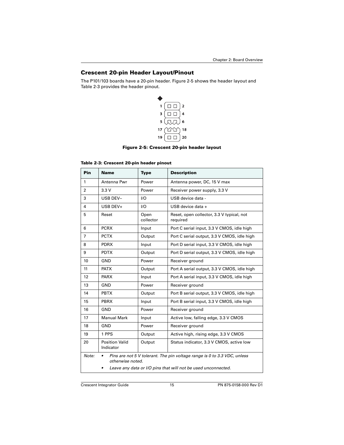## <span id="page-19-0"></span>**Crescent 20-pin Header Layout/Pinout**

The P101/103 boards have a 20-pin header. [Figure 2-5](#page-19-1) shows the header layout and [Table 2-3](#page-19-2) provides the header pinout.

<span id="page-19-3"></span>

#### **Figure 2-5: Crescent 20-pin header layout**

#### <span id="page-19-2"></span><span id="page-19-1"></span>**Table 2-3: Crescent 20-pin header pinout**

| Pin            | <b>Name</b>                                                                                                                                                        | <b>Type</b>              | <b>Description</b>                                    |
|----------------|--------------------------------------------------------------------------------------------------------------------------------------------------------------------|--------------------------|-------------------------------------------------------|
| $\mathbf{1}$   | Antenna Pwr                                                                                                                                                        | Power                    | Antenna power, DC, 15 V max                           |
| $\overline{2}$ | 3.3V                                                                                                                                                               | Power                    | Receiver power supply, 3.3 V                          |
| 3              | USB DEV-                                                                                                                                                           | 1/O<br>USB device data - |                                                       |
| 4              | USB DEV+                                                                                                                                                           | 1/O                      | USB device data +                                     |
| 5              | Reset                                                                                                                                                              | Open<br>collector        | Reset, open collector, 3.3 V typical, not<br>required |
| 6              | <b>PCRX</b>                                                                                                                                                        | Input                    | Port C serial input, 3.3 V CMOS, idle high            |
| $\overline{7}$ | <b>PCTX</b>                                                                                                                                                        | Output                   | Port C serial output, 3.3 V CMOS, idle high           |
| 8              | <b>PDRX</b>                                                                                                                                                        | Input                    | Port D serial input, 3.3 V CMOS, idle high            |
| 9              | <b>PDTX</b>                                                                                                                                                        | Output                   | Port D serial output, 3.3 V CMOS, idle high           |
| 10             | GND                                                                                                                                                                | Power                    | Receiver ground                                       |
| 11             | <b>PATX</b>                                                                                                                                                        | Output                   | Port A serial output, 3.3 V CMOS, idle high           |
| 12             | <b>PARX</b>                                                                                                                                                        | Input                    | Port A serial input, 3.3 V CMOS, idle high            |
| 13             | GND                                                                                                                                                                | Power                    | Receiver ground                                       |
| 14             | <b>PBTX</b>                                                                                                                                                        | Output                   | Port B serial output, 3.3 V CMOS, idle high           |
| 15             | <b>PBRX</b>                                                                                                                                                        | Input                    | Port B serial input, 3.3 V CMOS, idle high            |
| 16             | GND                                                                                                                                                                | Power                    | Receiver ground                                       |
| 17             | <b>Manual Mark</b>                                                                                                                                                 | Input                    | Active low, falling edge, 3.3 V CMOS                  |
| 18             | GND                                                                                                                                                                | Power                    | Receiver ground                                       |
| 19             | 1 PPS                                                                                                                                                              | Output                   | Active high, rising edge, 3.3 V CMOS                  |
| 20             | <b>Position Valid</b><br>Output<br>Indicator                                                                                                                       |                          | Status indicator, 3.3 V CMOS, active low              |
| Note:          | Pins are not 5 V tolerant. The pin voltage range is 0 to 3.3 VDC, unless<br>٠<br>otherwise noted.<br>Leave any data or I/O pins that will not be used unconnected. |                          |                                                       |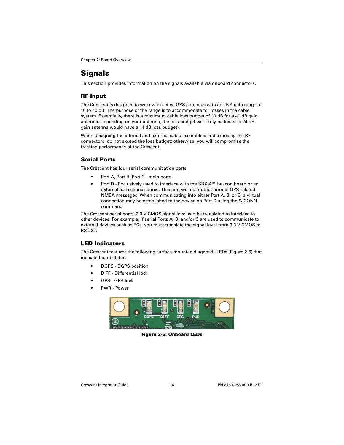# <span id="page-20-0"></span>**Signals**

This section provides information on the signals available via onboard connectors.

### <span id="page-20-14"></span><span id="page-20-1"></span>**RF Input**

The Crescent is designed to work with active GPS antennas with an LNA gain range of 10 to 40 dB. The purpose of the range is to accommodate for losses in the cable system. Essentially, there is a maximum cable loss budget of 30 dB for a 40 dB gain antenna. Depending on your antenna, the loss budget will likely be lower (a 24 dB gain antenna would have a 14 dB loss budget).

When designing the internal and external cable assemblies and choosing the RF connectors, do not exceed the loss budget; otherwise, you will compromise the tracking performance of the Crescent.

## <span id="page-20-2"></span>**Serial Ports**

The Crescent has four serial communication ports:

- <span id="page-20-12"></span>• Port A, Port B, Port C - main ports
- <span id="page-20-16"></span><span id="page-20-7"></span><span id="page-20-5"></span>• Port D - Exclusively used to interface with the SBX-4™ beacon board or an external corrections source. This port will not output normal GPS-related NMEA messages. When communicating into either Port A, B, or C, a virtual connection may be established to the device on Port D using the \$JCONN command.

<span id="page-20-15"></span>The Crescent serial ports' 3.3 V CMOS signal level can be translated to interface to other devices. For example, if serial Ports A, B, and/or C are used to communicate to external devices such as PCs, you must translate the signal level from 3.3 V CMOS to RS-232.

## <span id="page-20-11"></span><span id="page-20-3"></span>**LED Indicators**

The Crescent features the following surface-mounted diagnostic LEDs [\(Figure 2-6\)](#page-20-4) that indicate board status:

- DGPS DGPS position
- DIFF Differential lock
- GPS GPS lock
- PWR Power

<span id="page-20-13"></span><span id="page-20-10"></span><span id="page-20-9"></span><span id="page-20-8"></span><span id="page-20-6"></span><span id="page-20-4"></span>

**Figure 2-6: Onboard LEDs**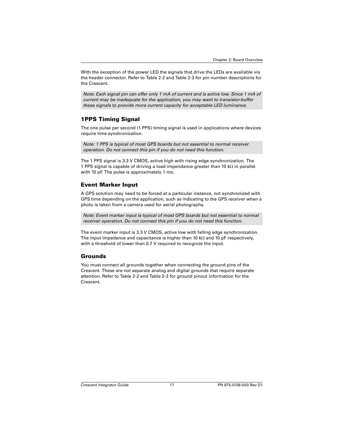With the exception of the power LED the signals that drive the LEDs are available via the header connector. Refer to [Table 2-2](#page-17-2) and [Table 2-3](#page-19-2) for pin number descriptions for the Crescent.

*Note: Each signal pin can offer only 1 mA of current and is active low. Since 1 mA of current may be inadequate for the application, you may want to transistor-buffer these signals to provide more current capacity for acceptable LED luminance.*

## <span id="page-21-3"></span><span id="page-21-0"></span>**1PPS Timing Signal**

The one pulse per second (1 PPS) timing signal is used in applications where devices require time synchronization.

*Note: 1 PPS is typical of most GPS boards but not essential to normal receiver operation. Do not connect this pin if you do not need this function.*

The 1 PPS signal is 3.3 V CMOS, active high with rising edge synchronization. The 1 PPS signal is capable of driving a load impendance greater than 10  $k\Omega$  in parallel with 10 pF. The pulse is approximately 1 ms.

### <span id="page-21-4"></span><span id="page-21-1"></span>**Event Marker Input**

A GPS solution may need to be forced at a particular instance, not synchronized with GPS time depending on the application, such as indicating to the GPS receiver when a photo is taken from a camera used for aerial photography.

*Note: Event marker input is typical of most GPS boards but not essential to normal receiver operation. Do not connect this pin if you do not need this function.*

The event marker input is 3.3 V CMOS, active low with falling edge synchronization. The input impedance and capacitance is higher than 10  $k\Omega$  and 10 pF respectively, with a threshold of lower than 0.7 V required to recognize the input.

## <span id="page-21-5"></span><span id="page-21-2"></span>**Grounds**

You must connect all grounds together when connecting the ground pins of the Crescent. These are not separate analog and digital grounds that require separate attention. Refer to [Table 2-2](#page-17-2) and [Table 2-3](#page-19-2) for ground pinout information for the Crescent.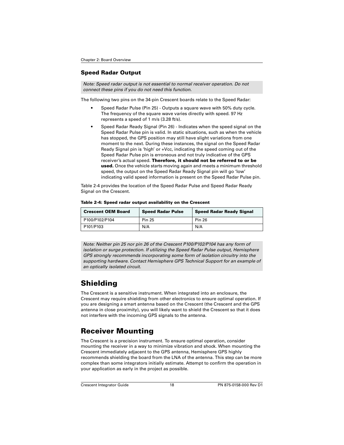## <span id="page-22-0"></span>**Speed Radar Output**

<span id="page-22-7"></span>*Note: Speed radar output is not essential to normal receiver operation. Do not connect these pins if you do not need this function.*

The following two pins on the 34-pin Crescent boards relate to the Speed Radar:

- Speed Radar Pulse (Pin 25) Outputs a square wave with 50% duty cycle. The frequency of the square wave varies directly with speed. 97 Hz represents a speed of 1 m/s (3.28 ft/s).
- Speed Radar Ready Signal (Pin 26) Indicates when the speed signal on the Speed Radar Pulse pin is valid. In static situations, such as when the vehicle has stopped, the GPS position may still have slight variations from one moment to the next. During these instances, the signal on the Speed Radar Ready Signal pin is 'high' or +Vcc, indicating the speed coming out of the Speed Radar Pulse pin is erroneous and not truly indicative of the GPS receiver's actual speed. **Therefore, it should not be referred to or be used.** Once the vehicle starts moving again and meets a minimum threshold speed, the output on the Speed Radar Ready Signal pin will go 'low' indicating valid speed information is present on the Speed Radar Pulse pin.

[Table 2-4](#page-22-3) provides the location of the Speed Radar Pulse and Speed Radar Ready Signal on the Crescent.

| <b>Crescent OEM Board</b> | <b>Speed Radar Pulse</b> | <b>Speed Radar Ready Signal</b> |  |
|---------------------------|--------------------------|---------------------------------|--|
| P100/P102/P104            | <b>Pin 25</b>            | <b>Pin 26</b>                   |  |
| P101/P103                 | N/A                      | N/A                             |  |

<span id="page-22-3"></span>**Table 2-4: Speed radar output availability on the Crescent**

*Note: Neither pin 25 nor pin 26 of the Crescent P100/P102/P104 has any form of isolation or surge protection. If utilizing the Speed Radar Pulse output, Hemisphere GPS strongly recommends incorporating some form of isolation circuitry into the supporting hardware. Contact Hemisphere GPS Technical Support for an example of an optically isolated circuit.*

# <span id="page-22-6"></span><span id="page-22-1"></span>**Shielding**

<span id="page-22-4"></span>The Crescent is a sensitive instrument. When integrated into an enclosure, the Crescent may require shielding from other electronics to ensure optimal operation. If you are designing a smart antenna based on the Crescent (the Crescent and the GPS antenna in close proximity), you will likely want to shield the Crescent so that it does not interfere with the incoming GPS signals to the antenna.

# <span id="page-22-5"></span><span id="page-22-2"></span>**Receiver Mounting**

The Crescent is a precision instrument. To ensure optimal operation, consider mounting the receiver in a way to minimize vibration and shock. When mounting the Crescent immediately adjacent to the GPS antenna, Hemisphere GPS highly recommends shielding the board from the LNA of the antenna. This step can be more complex than some integrators initially estimate. Attempt to confirm the operation in your application as early in the project as possible.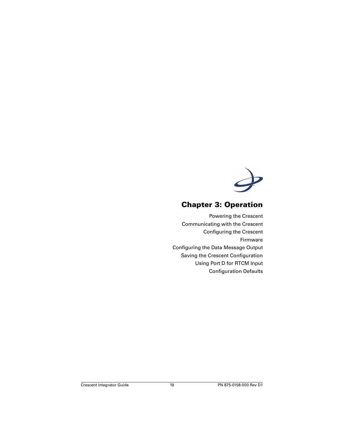

# **Chapter 3: Operation**

<span id="page-23-0"></span>[Powering the Crescent](#page-24-0) [Communicating with the Crescent](#page-24-1) [Configuring the Crescent](#page-24-2) [Firmware](#page-25-0) [Configuring the Data Message Output](#page-25-1) [Saving the Crescent Configuration](#page-26-0) [Using Port D for RTCM Input](#page-26-1) [Configuration Defaults](#page-26-2)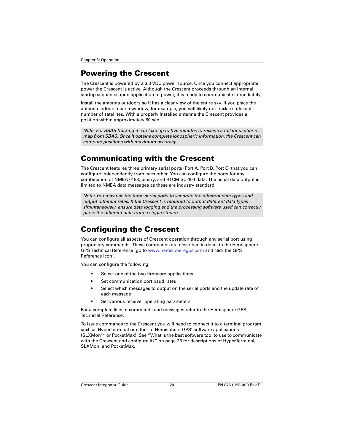# <span id="page-24-8"></span><span id="page-24-0"></span>**Powering the Crescent**

The Crescent is powered by a 3.3 VDC power source. Once you connect appropriate power the Crescent is active. Although the Crescent proceeds through an internal startup sequence upon application of power, it is ready to communicate immediately.

Install the antenna outdoors so it has a clear view of the entire sky. If you place the antenna indoors near a window, for example, you will likely not track a sufficient number of satellites. With a properly installed antenna the Crescent provides a position within approximately 60 sec.

<span id="page-24-4"></span>*Note: For SBAS tracking it can take up to five minutes to receive a full ionospheric map from SBAS. Once it obtains complete ionospheric information, the Crescent can compute positions with maximum accuracy.*

## <span id="page-24-1"></span>**Communicating with the Crescent**

<span id="page-24-6"></span><span id="page-24-3"></span>The Crescent features three primary serial ports (Port A, Port B, Port C) that you can configure independently from each other. You can configure the ports for any combination of NMEA 0183, binary, and RTCM SC-104 data. The usual data output is limited to NMEA data messages as these are industry standard.

*Note: You may use the three serial ports to separate the different data types and output different rates. If the Crescent is required to output different data types simultaneously, ensure data logging and the processing software used can correctly parse the different data from a single stream.*

# <span id="page-24-5"></span><span id="page-24-2"></span>**Configuring the Crescent**

You can configure all aspects of Crescent operation through any serial port using proprietary commands. These commands are described in detail in the Hemisphere GPS Technical Reference (go to [www.hemispheregps.com](http://www.hemispheregps.com) and click the GPS Reference icon).

You can configure the following:

- Select one of the two firmware applications
- Set communication port baud rates
- Select which messages to output on the serial ports and the update rate of each message
- Set various receiver operating parameters

For a complete lists of commands and messages refer to the Hemisphere GPS Technical Reference.

<span id="page-24-9"></span><span id="page-24-7"></span>To issue commands to the Crescent you will need to connect it to a terminal program such as HyperTerminal or either of Hemisphere GPS' software applications (SLXMon™ or PocketMax). See ["What is the best software tool to use to communicate](#page-30-1)  [with the Crescent and configure it?" on page 26](#page-30-1) for descriptions of HyperTerminal, SLXMon, and PocketMax.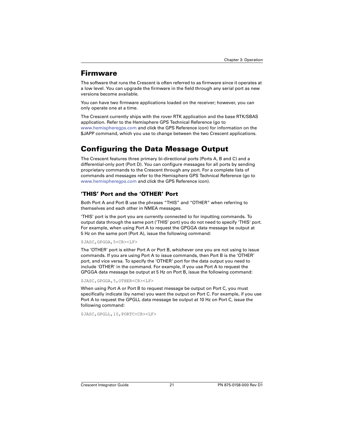## <span id="page-25-4"></span><span id="page-25-0"></span>**Firmware**

The software that runs the Crescent is often referred to as firmware since it operates at a low level. You can upgrade the firmware in the field through any serial port as new versions become available.

You can have two firmware applications loaded on the receiver; however, you can only operate one at a time.

<span id="page-25-6"></span>The Crescent currently ships with the rover RTK application and the base RTK/SBAS application. Refer to the Hemisphere GPS Technical Reference (go to [www.hemispheregps.com](http://www.hemispheregps.com) and click the GPS Reference icon) for information on the \$JAPP command, which you use to change between the two Crescent applications.

# <span id="page-25-3"></span><span id="page-25-1"></span>**Configuring the Data Message Output**

The Crescent features three primary bi-directional ports (Ports A, B and C) and a differential-only port (Port D). You can configure messages for all ports by sending proprietary commands to the Crescent through any port. For a complete lists of commands and messages refer to the Hemisphere GPS Technical Reference (go to [www.hemispheregps.com](http://www.hemispheregps.com) and click the GPS Reference icon).

## <span id="page-25-5"></span><span id="page-25-2"></span>**'THIS' Port and the 'OTHER' Port**

Both Port A and Port B use the phrases "THIS" and "OTHER" when referring to themselves and each other in NMEA messages.

'THIS' port is the port you are currently connected to for inputting commands. To output data through the same port ('THIS' port) you do not need to specify 'THIS' port. For example, when using Port A to request the GPGGA data message be output at 5 Hz on the same port (Port A), issue the following command:

#### \$JASC,GPGGA,5<CR><LF>

The 'OTHER' port is either Port A or Port B, whichever one you are not using to issue commands. If you are using Port A to issue commands, then Port B is the 'OTHER' port, and vice versa. To specify the 'OTHER' port for the data output you need to include 'OTHER' in the command. For example, if you use Port A to request the GPGGA data message be output at 5 Hz on Port B, issue the following command:

#### \$JASC,GPGGA,5,OTHER<CR><LF>

When using Port A or Port B to request message be output on Port C, you must specifically indicate (by name) you want the output on Port C. For example, if you use Port A to request the GPGLL data message be output at 10 Hz on Port C, issue the following command:

\$JASC,GPGLL,10,PORTC<CR><LF>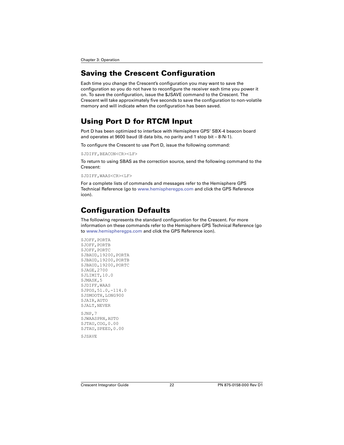# <span id="page-26-5"></span><span id="page-26-0"></span>**Saving the Crescent Configuration**

Each time you change the Crescent's configuration you may want to save the configuration so you do not have to reconfigure the receiver each time you power it on. To save the configuration, issue the \$JSAVE command to the Crescent. The Crescent will take approximately five seconds to save the configuration to non-volatile memory and will indicate when the configuration has been saved.

# <span id="page-26-4"></span><span id="page-26-1"></span>**Using Port D for RTCM Input**

<span id="page-26-6"></span><span id="page-26-3"></span>Port D has been optimized to interface with Hemisphere GPS' SBX-4 beacon board and operates at 9600 baud (8 data bits, no parity and 1 stop bit – 8-N-1).

To configure the Crescent to use Port D, issue the following command:

```
SJDTFF, BRACON<CR><LF>
```
To return to using SBAS as the correction source, send the following command to the Crescent:

 $SJDTFF$ , WAAS<CR><LF>

For a complete lists of commands and messages refer to the Hemisphere GPS Technical Reference (go to [www.hemispheregps.com](http://www.hemispheregps.com) and click the GPS Reference icon).

## <span id="page-26-2"></span>**Configuration Defaults**

The following represents the standard configuration for the Crescent. For more information on these commands refer to the Hemisphere GPS Technical Reference (go to [www.hemispheregps.com](http://www.hemispheregps.com) and click the GPS Reference icon).

```
$JOFF,PORTA
$JOFF, PORTB
$JOFF, PORTC
$JBAUD,19200,PORTA
$JBAUD,19200,PORTB
$JBAUD,19200,PORTC
$JAGE,2700
$JLIMIT,10.0
$JMASK,5
$JDIFF,WAAS
$JPOS,51.0,-114.0
$JSMOOTH,LONG900
$JAIR,AUTO
$JALT,NEVER
$JNP,7
$JWAASPRN,AUTO
$JTAU,COG,0.00
$JTAU,SPEED,0.00
```
\$JSAVE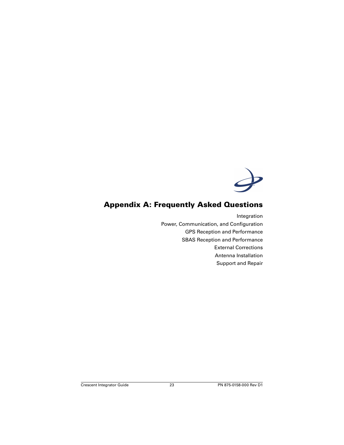

## <span id="page-27-0"></span>**Appendix A: Frequently Asked Questions**

[Integration](#page-28-0) [Power, Communication, and Configuration](#page-29-0) [GPS Reception and Performance](#page-30-0) [SBAS Reception and Performance](#page-31-0) [External Corrections](#page-32-0) [Antenna Installation](#page-32-1) [Support and Repair](#page-33-0)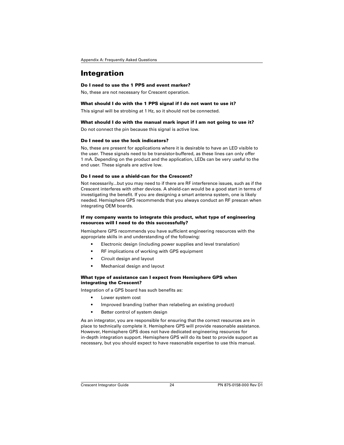## <span id="page-28-0"></span>**Integration**

#### **Do I need to use the 1 PPS and event marker?**

No, these are not necessary for Crescent operation.

#### **What should I do with the 1 PPS signal if I do not want to use it?**

This signal will be strobing at 1 Hz, so it should not be connected.

#### **What should I do with the manual mark input if I am not going to use it?**

Do not connect the pin because this signal is active low.

#### **Do I need to use the lock indicators?**

No, these are present for applications where it is desirable to have an LED visible to the user. These signals need to be transistor-buffered, as these lines can only offer 1 mA. Depending on the product and the application, LEDs can be very useful to the end user. These signals are active low.

#### **Do I need to use a shield-can for the Crescent?**

Not necessarily...but you may need to if there are RF interference issues, such as if the Crescent interferes with other devices. A shield-can would be a good start in terms of investigating the benefit. If you are designing a smart antenna system, one is likely needed. Hemisphere GPS recommends that you always conduct an RF prescan when integrating OEM boards.

#### **If my company wants to integrate this product, what type of engineering resources will I need to do this successfully?**

Hemisphere GPS recommends you have sufficient engineering resources with the appropriate skills in and understanding of the following:

- Electronic design (including power supplies and level translation)
- RF implications of working with GPS equipment
- Circuit design and layout
- Mechanical design and layout

#### **What type of assistance can I expect from Hemisphere GPS when integrating the Crescent?**

Integration of a GPS board has such benefits as:

- Lower system cost
- Improved branding (rather than relabeling an existing product)
- Better control of system design

As an integrator, you are responsible for ensuring that the correct resources are in place to technically complete it. Hemisphere GPS will provide reasonable assistance. However, Hemisphere GPS does not have dedicated engineering resources for in-depth integration support. Hemisphere GPS will do its best to provide support as necessary, but you should expect to have reasonable expertise to use this manual.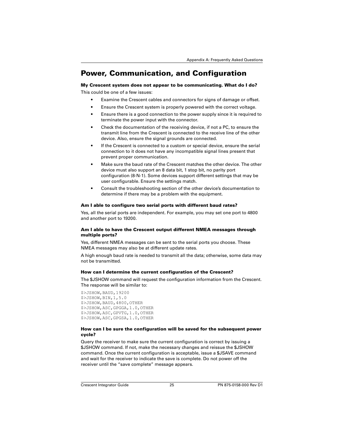## <span id="page-29-0"></span>**Power, Communication, and Configuration**

## **My Crescent system does not appear to be communicating. What do I do?**

This could be one of a few issues:

- Examine the Crescent cables and connectors for signs of damage or offset.
- Ensure the Crescent system is properly powered with the correct voltage.
- Ensure there is a good connection to the power supply since it is required to terminate the power input with the connector.
- Check the documentation of the receiving device, if not a PC, to ensure the transmit line from the Crescent is connected to the receive line of the other device. Also, ensure the signal grounds are connected.
- If the Crescent is connected to a custom or special device, ensure the serial connection to it does not have any incompatible signal lines present that prevent proper communication.
- Make sure the baud rate of the Crescent matches the other device. The other device must also support an 8 data bit, 1 stop bit, no parity port configuration (8-N-1). Some devices support different settings that may be user configurable. Ensure the settings match.
- Consult the troubleshooting section of the other device's documentation to determine if there may be a problem with the equipment.

#### **Am I able to configure two serial ports with different baud rates?**

Yes, all the serial ports are independent. For example, you may set one port to 4800 and another port to 19200.

#### **Am I able to have the Crescent output different NMEA messages through multiple ports?**

Yes, different NMEA messages can be sent to the serial ports you choose. These NMEA messages may also be at different update rates.

A high enough baud rate is needed to transmit all the data; otherwise, some data may not be transmitted.

#### **How can I determine the current configuration of the Crescent?**

The \$JSHOW command will request the configuration information from the Crescent. The response will be similar to:

```
$>JSHOW,BAUD,19200
$>JSHOW,BIN,1,5.0
$>JSHOW,BAUD,4800,OTHER
$>JSHOW,ASC,GPGGA,1.0,OTHER
$>JSHOW,ASC,GPVTG,1.0,OTHER
$>JSHOW,ASC,GPGSA,1.0,OTHER
```
#### **How can I be sure the configuration will be saved for the subsequent power cycle?**

Query the receiver to make sure the current configuration is correct by issuing a \$JSHOW command. If not, make the necessary changes and reissue the \$JSHOW command. Once the current configuration is acceptable, issue a \$JSAVE command and wait for the receiver to indicate the save is complete. Do not power off the receiver until the "save complete" message appears.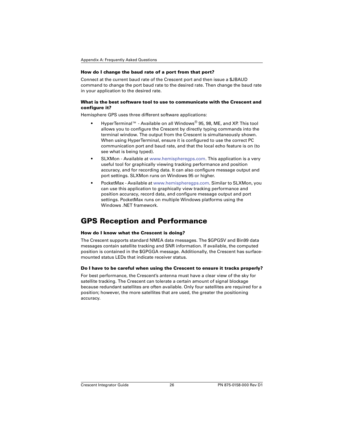#### **How do I change the baud rate of a port from that port?**

Connect at the current baud rate of the Crescent port and then issue a \$JBAUD command to change the port baud rate to the desired rate. Then change the baud rate in your application to the desired rate.

#### <span id="page-30-1"></span>**What is the best software tool to use to communicate with the Crescent and configure it?**

Hemisphere GPS uses three different software applications:

- HyperTerminal™ Available on all Windows<sup>®</sup> 95, 98, ME, and XP. This tool allows you to configure the Crescent by directly typing commands into the terminal window. The output from the Crescent is simultaneously shown. When using HyperTerminal, ensure it is configured to use the correct PC communication port and baud rate, and that the local echo feature is on (to see what is being typed).
- <span id="page-30-3"></span>• SLXMon - Available at [www.hemispheregps.com.](http://www.hemispheregps.com) This application is a very useful tool for graphically viewing tracking performance and position accuracy, and for recording data. It can also configure message output and port settings. SLXMon runs on Windows 95 or higher.
- <span id="page-30-2"></span>• PocketMax - Available at [www.hemispheregps.com](http://www.hemispheregps.com). Similar to SLXMon, you can use this application to graphically view tracking performance and position accuracy, record data, and configure message output and port settings. PocketMax runs on multiple Windows platforms using the Windows, NFT framework.

## <span id="page-30-0"></span>**GPS Reception and Performance**

#### **How do I know what the Crescent is doing?**

The Crescent supports standard NMEA data messages. The \$GPGSV and Bin99 data messages contain satellite tracking and SNR information. If available, the computed position is contained in the \$GPGGA message. Additionally, the Crescent has surfacemounted status LEDs that indicate receiver status.

#### **Do I have to be careful when using the Crescent to ensure it tracks properly?**

For best performance, the Crescent's antenna must have a clear view of the sky for satellite tracking. The Crescent can tolerate a certain amount of signal blockage because redundant satellites are often available. Only four satellites are required for a position; however, the more satellites that are used, the greater the positioning accuracy.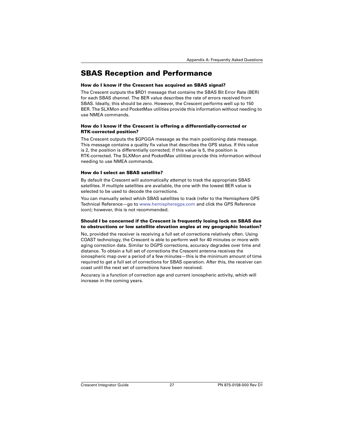## <span id="page-31-0"></span>**SBAS Reception and Performance**

#### **How do I know if the Crescent has acquired an SBAS signal?**

<span id="page-31-4"></span><span id="page-31-2"></span>The Crescent outputs the \$RD1 message that contains the SBAS Bit Error Rate (BER) for each SBAS channel. The BER value describes the rate of errors received from SBAS. Ideally, this should be zero. However, the Crescent performs well up to 150 BER. The SLXMon and PocketMax utilities provide this information without needing to use NMEA commands.

#### <span id="page-31-3"></span>**How do I know if the Crescent is offering a differentially-corrected or RTK-corrected position?**

The Crescent outputs the \$GPGGA message as the main positioning data message. This message contains a quality fix value that describes the GPS status. If this value is 2, the position is differentially corrected; if this value is 5, the position is RTK-corrected. The SLXMon and PocketMax utilities provide this information without needing to use NMEA commands.

#### **How do I select an SBAS satellite?**

By default the Crescent will automatically attempt to track the appropriate SBAS satellites. If multiple satellites are available, the one with the lowest BER value is selected to be used to decode the corrections.

You can manually select which SBAS satellites to track (refer to the Hemisphere GPS Technical Reference—go to [www.hemispheregps.com](http://www.hemispheregps.com) and click the GPS Reference icon); however, this is not recommended.

#### **Should I be concerned if the Crescent is frequently losing lock on SBAS due to obstructions or low satellite elevation angles at my geographic location?**

<span id="page-31-1"></span>No, provided the receiver is receiving a full set of corrections relatively often. Using COAST technology, the Crescent is able to perform well for 40 minutes or more with aging correction data. Similar to DGPS corrections, accuracy degrades over time and distance. To obtain a full set of corrections the Crescent antenna receives the ionospheric map over a period of a few minutes—this is the minimum amount of time required to get a full set of corrections for SBAS operation. After this, the receiver can coast until the next set of corrections have been received.

Accuracy is a function of correction age and current ionospheric activity, which will increase in the coming years.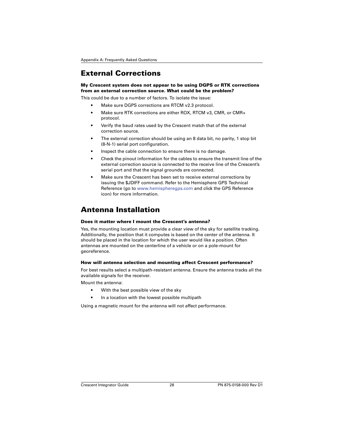# <span id="page-32-0"></span>**External Corrections**

#### **My Crescent system does not appear to be using DGPS or RTK corrections from an external correction source. What could be the problem?**

This could be due to a number of factors. To isolate the issue:

- <span id="page-32-2"></span>Make sure DGPS corrections are RTCM v2.3 protocol.
- Make sure RTK corrections are either ROX, RTCM v3, CMR, or CMR+ protocol.
- Verify the baud rates used by the Crescent match that of the external correction source.
- The external correction should be using an 8 data bit, no parity, 1 stop bit (8-N-1) serial port configuration.
- Inspect the cable connection to ensure there is no damage.
- Check the pinout information for the cables to ensure the transmit line of the external correction source is connected to the receive line of the Crescent's serial port and that the signal grounds are connected.
- Make sure the Crescent has been set to receive external corrections by issuing the \$JDIFF command. Refer to the Hemisphere GPS Technical Reference (go to [www.hemispheregps.com](http://www.hemispheregps.com) and click the GPS Reference icon) for more information.

# <span id="page-32-1"></span>**Antenna Installation**

#### **Does it matter where I mount the Crescent's antenna?**

Yes, the mounting location must provide a clear view of the sky for satellite tracking. Additionally, the position that it computes is based on the center of the antenna. It should be placed in the location for which the user would like a position. Often antennas are mounted on the centerline of a vehicle or on a pole-mount for georeference.

#### **How will antenna selection and mounting affect Crescent performance?**

For best results select a multipath-resistant antenna. Ensure the antenna tracks all the available signals for the receiver.

Mount the antenna:

- With the best possible view of the sky
- In a location with the lowest possible multipath

Using a magnetic mount for the antenna will not affect performance.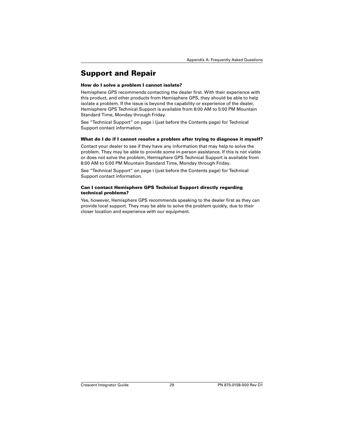# <span id="page-33-0"></span>**Support and Repair**

#### **How do I solve a problem I cannot isolate?**

Hemisphere GPS recommends contacting the dealer first. With their experience with this product, and other products from Hemisphere GPS, they should be able to help isolate a problem. If the issue is beyond the capability or experience of the dealer, Hemisphere GPS Technical Support is available from 8:00 AM to 5:00 PM Mountain Standard Time, Monday through Friday.

See ["Technical Support" on page i](#page-1-0) (just before the Contents page) for Technical Support contact information.

#### **What do I do if I cannot resolve a problem after trying to diagnose it myself?**

Contact your dealer to see if they have any information that may help to solve the problem. They may be able to provide some in-person assistance. If this is not viable or does not solve the problem, Hemisphere GPS Technical Support is available from 8:00 AM to 5:00 PM Mountain Standard Time, Monday through Friday.

See ["Technical Support" on page i](#page-1-0) (just before the Contents page) for Technical Support contact information.

#### **Can I contact Hemisphere GPS Technical Support directly regarding technical problems?**

Yes, however, Hemisphere GPS recommends speaking to the dealer first as they can provide local support. They may be able to solve the problem quickly, due to their closer location and experience with our equipment.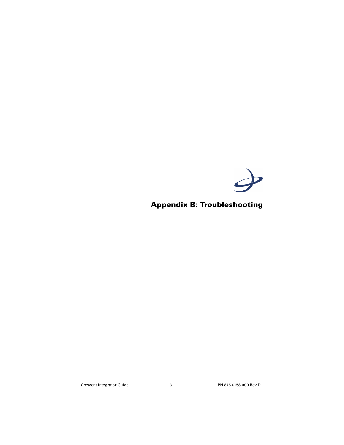

# <span id="page-35-0"></span>**Appendix B: Troubleshooting**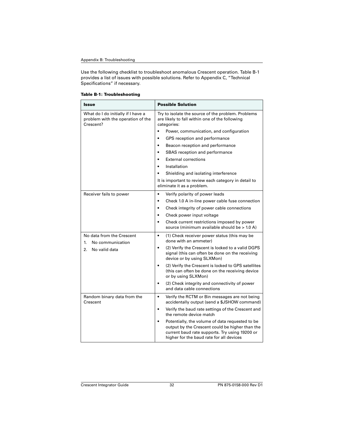Use the following checklist to troubleshoot anomalous Crescent operation. Table B-1 provides a list of issues with possible solutions. Refer to [Appendix C, "Technical](#page-39-1)  [Specifications"](#page-39-1) if necessary.

|  |  | <b>Table B-1: Troubleshooting</b> |
|--|--|-----------------------------------|
|--|--|-----------------------------------|

<span id="page-36-2"></span><span id="page-36-1"></span><span id="page-36-0"></span>

| Issue                                                                                | <b>Possible Solution</b>                                                                                                                                                                                      |  |
|--------------------------------------------------------------------------------------|---------------------------------------------------------------------------------------------------------------------------------------------------------------------------------------------------------------|--|
| What do I do initially if I have a<br>problem with the operation of the<br>Crescent? | Try to isolate the source of the problem. Problems<br>are likely to fall within one of the following<br>categories:                                                                                           |  |
|                                                                                      | Power, communication, and configuration                                                                                                                                                                       |  |
|                                                                                      | GPS reception and performance                                                                                                                                                                                 |  |
|                                                                                      | Beacon reception and performance<br>٠                                                                                                                                                                         |  |
|                                                                                      | SBAS reception and performance<br>$\bullet$                                                                                                                                                                   |  |
|                                                                                      | <b>External corrections</b>                                                                                                                                                                                   |  |
|                                                                                      | Installation                                                                                                                                                                                                  |  |
|                                                                                      | Shielding and isolating interference                                                                                                                                                                          |  |
|                                                                                      | It is important to review each category in detail to<br>eliminate it as a problem.                                                                                                                            |  |
| Receiver fails to power                                                              | $\bullet$<br>Verify polarity of power leads                                                                                                                                                                   |  |
|                                                                                      | Check 1.0 A in-line power cable fuse connection<br>$\bullet$                                                                                                                                                  |  |
|                                                                                      | Check integrity of power cable connections<br>$\bullet$                                                                                                                                                       |  |
|                                                                                      | Check power input voltage<br>$\bullet$                                                                                                                                                                        |  |
|                                                                                      | Check current restrictions imposed by power<br>$\bullet$<br>source (minimum available should be > 1.0 A)                                                                                                      |  |
| No data from the Crescent                                                            | $\bullet$<br>(1) Check receiver power status (this may be                                                                                                                                                     |  |
| No communication<br>1.                                                               | done with an ammeter)                                                                                                                                                                                         |  |
| No valid data<br>2.                                                                  | (2) Verify the Crescent is locked to a valid DGPS<br>$\bullet$<br>signal (this can often be done on the receiving<br>device or by using SLXMon)                                                               |  |
|                                                                                      | (2) Verify the Crescent is locked to GPS satellites<br>$\bullet$<br>(this can often be done on the receiving device<br>or by using SLXMon)                                                                    |  |
|                                                                                      | (2) Check integrity and connectivity of power<br>and data cable connections                                                                                                                                   |  |
| Random binary data from the<br>Crescent                                              | $\bullet$<br>Verify the RCTM or Bin messages are not being<br>accidentally output (send a \$JSHOW command)                                                                                                    |  |
|                                                                                      | Verify the baud rate settings of the Crescent and<br>$\bullet$<br>the remote device match                                                                                                                     |  |
|                                                                                      | Potentially, the volume of data requested to be<br>$\bullet$<br>output by the Crescent could be higher than the<br>current baud rate supports. Try using 19200 or<br>higher for the baud rate for all devices |  |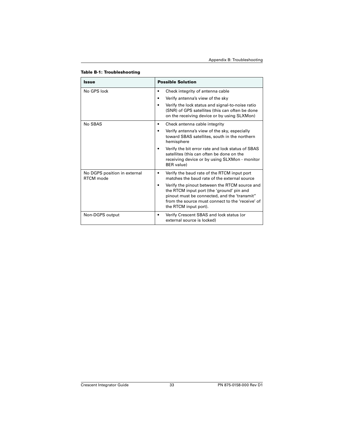#### **Table B-1: Troubleshooting**

<span id="page-37-0"></span>

| Issue                                     | <b>Possible Solution</b>                                                                                                                                                                                                |  |
|-------------------------------------------|-------------------------------------------------------------------------------------------------------------------------------------------------------------------------------------------------------------------------|--|
| No GPS lock                               | Check integrity of antenna cable                                                                                                                                                                                        |  |
|                                           | Verify antenna's view of the sky                                                                                                                                                                                        |  |
|                                           | Verify the lock status and signal-to-noise ratio<br>(SNR) of GPS satellites (this can often be done<br>on the receiving device or by using SLXMon)                                                                      |  |
| No SBAS                                   | Check antenna cable integrity                                                                                                                                                                                           |  |
|                                           | Verify antenna's view of the sky, especially<br>toward SBAS satellites, south in the northern<br>hemisphere                                                                                                             |  |
|                                           | Verify the bit error rate and lock status of SBAS<br>satellites (this can often be done on the<br>receiving device or by using SLXMon - monitor<br><b>BER</b> value)                                                    |  |
| No DGPS position in external<br>RTCM mode | Verify the baud rate of the RTCM input port<br>matches the baud rate of the external source                                                                                                                             |  |
|                                           | Verify the pinout between the RTCM source and<br>the RTCM input port (the 'ground' pin and<br>pinout must be connected, and the 'transmit"<br>from the source must connect to the 'receive' of<br>the RTCM input port). |  |
| Non-DGPS output                           | Verify Crescent SBAS and lock status (or<br>external source is locked)                                                                                                                                                  |  |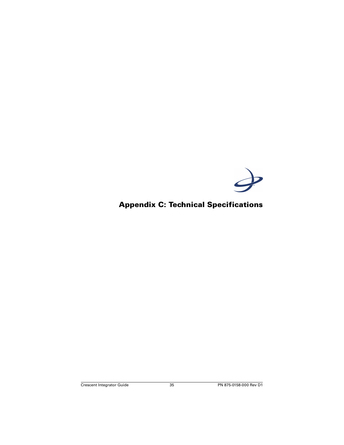

# <span id="page-39-1"></span><span id="page-39-0"></span>**Appendix C: Technical Specifications**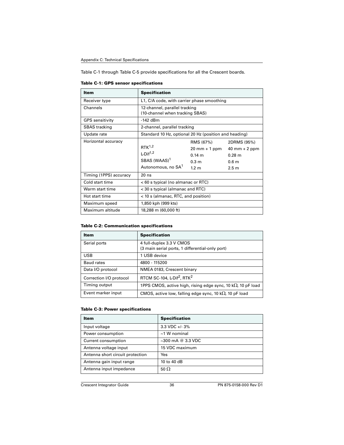[Table C-1](#page-40-0) through [Table C-5](#page-41-0) provide specifications for all the Crescent boards.

<span id="page-40-6"></span>

| <b>Item</b>            | <b>Specification</b>                                                                                |                                                                                                |                                                                                            |
|------------------------|-----------------------------------------------------------------------------------------------------|------------------------------------------------------------------------------------------------|--------------------------------------------------------------------------------------------|
| Receiver type          | L1, C/A code, with carrier phase smoothing                                                          |                                                                                                |                                                                                            |
| Channels               | 12-channel, parallel tracking<br>(10-channel when tracking SBAS)                                    |                                                                                                |                                                                                            |
| <b>GPS</b> sensitivity | $-142$ dBm                                                                                          |                                                                                                |                                                                                            |
| <b>SBAS</b> tracking   | 2-channel, parallel tracking                                                                        |                                                                                                |                                                                                            |
| Update rate            | Standard 10 Hz, optional 20 Hz (position and heading)                                               |                                                                                                |                                                                                            |
| Horizontal accuracy    | $RTK^{1,2}$<br>$L$ Dif <sup>1,2</sup><br>SBAS (WAAS) <sup>1</sup><br>Autonomous, no SA <sup>1</sup> | RMS (67%)<br>$20 \text{ mm} + 1 \text{ ppm}$<br>0.14 m<br>0.3 <sub>m</sub><br>1.2 <sub>m</sub> | 2DRMS (95%)<br>$40$ mm + 2 ppm<br>$0.28 \text{ m}$<br>0.6 <sub>m</sub><br>2.5 <sub>m</sub> |
| Timing (1PPS) accuracy | $20$ ns                                                                                             |                                                                                                |                                                                                            |
| Cold start time        | <60 s typical (no almanac or RTC)                                                                   |                                                                                                |                                                                                            |
| Warm start time        | < 30 s typical (almanac and RTC)                                                                    |                                                                                                |                                                                                            |
| Hot start time         | < 10 s (almanac, RTC, and position)                                                                 |                                                                                                |                                                                                            |
| Maximum speed          | 1,850 kph (999 kts)                                                                                 |                                                                                                |                                                                                            |
| Maximum altitude       | 18,288 m (60,000 ft)                                                                                |                                                                                                |                                                                                            |

<span id="page-40-7"></span><span id="page-40-0"></span>**Table C-1: GPS sensor specifications**

#### <span id="page-40-3"></span><span id="page-40-1"></span>**Table C-2: Communication specifications**

<span id="page-40-4"></span><span id="page-40-2"></span>

| Item                    | <b>Specification</b>                                                        |
|-------------------------|-----------------------------------------------------------------------------|
| Serial ports            | 4 full-duplex 3.3 V CMOS<br>(3 main serial ports, 1 differential-only port) |
| <b>USB</b>              | 1 USB device                                                                |
| Baud rates              | 4800 - 115200                                                               |
| Data I/O protocol       | NMEA 0183, Crescent binary                                                  |
| Correction I/O protocol | RTCM SC-104, L-Dif <sup>2</sup> , RTK <sup>2</sup>                          |
| Timing output           | 1PPS CMOS, active high, rising edge sync, 10 k $\Omega$ , 10 pF load        |
| Event marker input      | CMOS, active low, falling edge sync, 10 k $\Omega$ , 10 pF load             |

#### <span id="page-40-5"></span>**Table C-3: Power specifications**

| ltem                             | <b>Specification</b>    |
|----------------------------------|-------------------------|
| Input voltage                    | 3.3 VDC $+/-3\%$        |
| Power consumption                | $\sim$ 1 W nominal      |
| Current consumption              | $\sim$ 300 mA @ 3.3 VDC |
| Antenna voltage input            | 15 VDC maximum          |
| Antenna short circuit protection | Yes                     |
| Antenna gain input range         | 10 to 40 dB             |
| Antenna input impedance          | 50 $\Omega$             |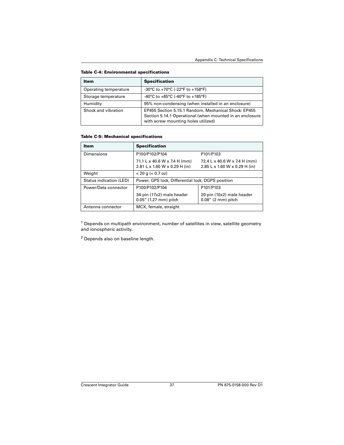| Item                  | <b>Specification</b>                                                                                                                                    |
|-----------------------|---------------------------------------------------------------------------------------------------------------------------------------------------------|
| Operating temperature | -30°C to +70°C (-22°F to +158°F)                                                                                                                        |
| Storage temperature   | -40°C to +85°C (-40°F to +185°F)                                                                                                                        |
| Humidity              | 95% non-condensing (when installed in an enclosure)                                                                                                     |
| Shock and vibration   | EP455 Section 5.15.1 Random, Mechanical Shock: EP455<br>Section 5.14.1 Operational (when mounted in an enclosure<br>with screw mounting holes utilized) |

<span id="page-41-1"></span>**Table C-4: Environmental specifications**

#### <span id="page-41-2"></span><span id="page-41-0"></span>**Table C-5: Mechanical specifications**

| Item                    | <b>Specification</b>                                          |                                                               |
|-------------------------|---------------------------------------------------------------|---------------------------------------------------------------|
| Dimensions              | P100/P102/P104                                                | P101/P103                                                     |
|                         | 71.1 L x 40.6 W x 7.4 H (mm)<br>2.81 L x 1.60 W x 0.29 H (in) | 72.4 L x 40.6 W x 7.4 H (mm)<br>2.85 L x 1.60 W x 0.29 H (in) |
| Weight                  | $< 20$ g ( $< 0.7$ oz)                                        |                                                               |
| Status indication (LED) | Power, GPS lock, Differential lock, DGPS position             |                                                               |
| Power/Data connector    | P100/P102/P104                                                | P101/P103                                                     |
|                         | 34-pin (17x2) male header<br>0.05" (1.27 mm) pitch            | 20-pin (10x2) male header<br>$0.08''$ (2 mm) pitch            |
| Antenna connector       | MCX, female, straight                                         |                                                               |

 $1$  Depends on multipath environment, number of satellites in view, satellite geometry and ionospheric activity.

2 Depends also on baseline length.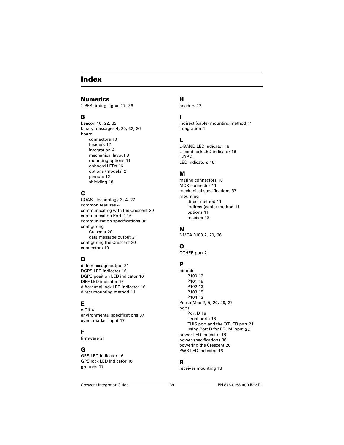## <span id="page-43-0"></span>**Index**

### **Numerics**

1 PPS timing signal [17,](#page-21-3) [36](#page-40-1)

### **B**

beacon [16,](#page-20-5) [22,](#page-26-3) [32](#page-36-0) binary messages [4,](#page-8-2) [20,](#page-24-3) [32](#page-36-1), [36](#page-40-2) board connectors [10](#page-14-2) headers [12](#page-16-3) integration [4](#page-8-3) mechanical layout [8](#page-12-2) mounting options [11](#page-15-3) onboard LEDs [16](#page-20-6) options (models) [2](#page-6-2) pinouts [12](#page-16-3) shielding [18](#page-22-4)

## **C**

COAST technology [3](#page-7-2), [4](#page-8-4), [27](#page-31-1) common features [4](#page-8-5) communicating with the Crescent [20](#page-24-4) communication Port D [16](#page-20-7) communication specifications [36](#page-40-3) configuring Crescent [20](#page-24-5) data message output [21](#page-25-3) configuring the Crescent [20](#page-24-5) connectors [10](#page-14-3)

## **D**

date message output [21](#page-25-3) DGPS LED indicator [16](#page-20-8) DGPS position LED indicator [16](#page-20-8) DIFF LED indicator [16](#page-20-9) differential lock LED indicator [16](#page-20-9) direct mounting method [11](#page-15-4)

## **E**

e-Dif [4](#page-8-6) environmental specifications [37](#page-41-1) event marker input [17](#page-21-4)

### **F**

firmware [21](#page-25-4)

## **G**

GPS LED indicator [16](#page-20-10) GPS lock LED indicator [16](#page-20-10) grounds [17](#page-21-5)

## **H**

headers [12](#page-16-1)

## **I**

indirect (ca[ble\) mounting method](#page-8-3) [11](#page-15-5) integration 4

### **L**

L-BAND LED indicator [16](#page-20-8) L-band lock LED indicator [16](#page-20-8) L-Dif [4](#page-8-7) LED indicators [16](#page-20-11)

### **M**

mating connectors [10](#page-14-4) MCX connector [11](#page-15-6) mechanical specifications [37](#page-41-2) mounting direct method [11](#page-15-4) indirect (cable) method [11](#page-15-5) options [11](#page-15-7) receiver [18](#page-22-5)

### **N**

NMEA 0183 [2,](#page-6-3) [20](#page-24-6), [36](#page-40-4)

## **O**

OTHER port [21](#page-25-5)

### **P**

pinouts P100 [13](#page-17-3) P101 [15](#page-19-3) P102 [13](#page-17-3) P103 [15](#page-19-3) P104 [13](#page-17-3) PocketMax [2,](#page-6-4) [5](#page-9-2), [20](#page-24-7), [26,](#page-30-2) [27](#page-31-2) ports Port D [16](#page-20-7) serial ports [16](#page-20-12) THIS port and the OTHER port [21](#page-25-5) using Port D for RTCM input [22](#page-26-4) power LED indicator [16](#page-20-13) power specifications [36](#page-40-5) powering the Crescent [20](#page-24-8) PWR LED indicator [16](#page-20-13)

### **R**

receiver mounting [18](#page-22-5)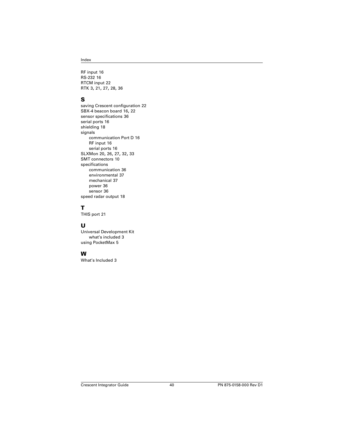RF input [16](#page-20-14) RS-232 [16](#page-20-15) RTCM input [22](#page-26-4) RTK [3](#page-7-3), [21,](#page-25-6) [27,](#page-31-3) [28](#page-32-2), [36](#page-40-6)

### **S**

saving Crescent configuration [22](#page-26-5) SBX-4 beacon board [16,](#page-20-16) [22](#page-26-6) sensor specifications [36](#page-40-7) serial ports [16](#page-20-12) shielding [18](#page-22-6) signals communication Port D [16](#page-20-7) RF input [16](#page-20-14) serial ports [16](#page-20-12) SLXMon [20,](#page-24-9) [26,](#page-30-3) [27](#page-31-4), [32,](#page-36-2) [33](#page-37-0) SMT connectors [10](#page-14-5) specifications communication [36](#page-40-3) environmental [37](#page-41-1) mechanical [37](#page-41-2) power [36](#page-40-5) sensor [36](#page-40-7) speed radar output [18](#page-22-7)

## **T**

THIS port [21](#page-25-5)

### **U**

Universal Development Kit what's included [3](#page-7-4) using PocketMax [5](#page-9-2)

### **W**

What's Included [3](#page-7-4)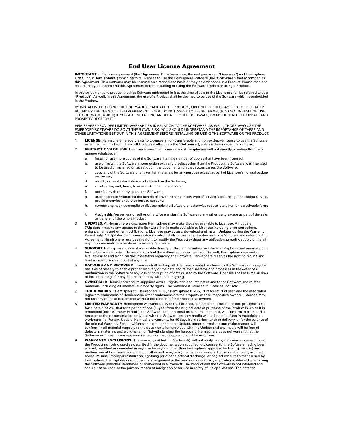### **End User License Agreement**

<span id="page-45-0"></span>**IMPORTANT** - This is an agreement (the "**Agreement**") between you, the end purchaser ("**Licensee**") and Hemisphere GNSS Inc. ("**Hemisphere**") which permits Licensee to use the Hemisphere software (the "**Software**") that accompanies this Agreement. This Software may be licensed on a standalone basis or may be embedded in a Product. Please read and ensure that you understand this Agreement before installing or using the Software Update or using a Product.

In this agreement any product that has Software embedded in it at the time of sale to the Licensee shall be referred to as a "**Product**". As well, in this Agreement, the use of a Product shall be deemed to be use of the Software which is embedded in the Product.

BY INSTALLING OR USING THE SOFTWARE UPDATE OR THE PRODUCT, LICENSEE THEREBY AGREES TO BE LEGALLY BOUND BY THE TERMS OF THIS AGREEMENT. IF YOU DO NOT AGREE TO THESE TERMS, (I) DO NOT INSTALL OR USE THE SOFTWARE, AND (II) IF YOU ARE INSTALLING AN UPDATE TO THE SOFTWARE, DO NOT INSTALL THE UPDATE AND PROMPTLY DESTROY IT.

HEMISPHERE PROVIDES LIMITED WARRANTIES IN RELATION TO THE SOFTWARE. AS WELL, THOSE WHO USE THE EMBEDDED SOFTWARE DO SO AT THEIR OWN RISK. YOU SHOULD UNDERSTAND THE IMPORTANCE OF THESE AND OTHER LIMITATIONS SET OUT IN THIS AGREEMENT BEFORE INSTALLING OR USING THE SOFTWARE OR THE PRODUCT.

- 1. **LICENSE**. Hemisphere hereby grants to Licensee a non-transferable and non-exclusive license to use the Software as embedded in a Product and all Updates (collectively the "**Software**"), solely in binary executable form.
- 2. **RESTRICTIONS ON USE**. Licensee agrees that Licensee and its employees will not directly or indirectly, in any manner whatsoever:
	- a. install or use more copies of the Software than the number of copies that have been licensed;
	- b. use or install the Software in connection with any product other than the Product the Software was intended to be used or installed on as set out in the documentation that accompanies the Software.
	- c. copy any of the Software or any written materials for any purpose except as part of Licensee's normal backup processes;
	- d. modify or create derivative works based on the Software;
	- e. sub-license, rent, lease, loan or distribute the Software;
	- f. permit any third party to use the Software;
	- g. use or operate Product for the benefit of any third party in any type of service outsourcing, application service, provider service or service bureau capacity;
	- h. reverse engineer, decompile or disassemble the Software or otherwise reduce it to a human perceivable form;
	- i. Assign this Agreement or sell or otherwise transfer the Software to any other party except as part of the sale or transfer of the whole Product.
- 3. **UPDATES**. At Hemisphere's discretion Hemisphere may make Updates available to Licensee. An update ("**Update**") means any update to the Software that is made available to Licensee including error corrections, enhancements and other modifications. Licensee may access, download and install Updates during the Warranty Period only. All Updates that Licensee downloads, installs or uses shall be deemed to be Software and subject to this Agreement. Hemisphere reserves the right to modify the Product without any obligation to notify, supply or install any improvements or alterations to existing Software.
- 4. **SUPPORT.** Hemisphere may make available directly or through its authorized dealers telephone and email support for the Software. Contact Hemisphere to find the authorized dealer near you. As well, Hemisphere may make available user and technical documentation regarding the Software. Hemisphere reserves the right to reduce and limit access to such support at any time.
- 5. **BACKUPS AND RECOVERY.** Licensee shall back-up all data used, created or stored by the Software on a regular basis as necessary to enable proper recovery of the data and related systems and processes in the event of a malfunction in the Software or any loss or corruption of data caused by the Software. Licensee shall assume all risks of loss or damage for any failure to comply with the foregoing.
- 6. **OWNERSHIP.** Hemisphere and its suppliers own all rights, title and interest in and to the Software and related materials, including all intellectual property rights. The Software is licensed to Licensee, not sold.
- 7. **TRADEMARKS**. "Hemisphere", "Hemisphere GPS", "Hemisphere GNSS", "Crescent", "Eclipse" and the associated logos are trademarks of Hemisphere. Other trademarks are the property of their respective owners. Licensee may not use any of these trademarks without the consent of their respective owners.
- 8. **LIMITED WARRANTY**. Hemisphere warrants solely to the Licensee, subject to the exclusions and procedures set forth herein below, that for a period of one (1) year from the original date of purchase of the Product in which it is embedded (the "Warranty Period"), the Software, under normal use and maintenance, will conform in all material respects to the documentation provided with the Software and any media will be free of defects in materials and workmanship. For any Update, Hemisphere warrants, for 90 days from performance or delivery, or for the balance of the original Warranty Period, whichever is greater, that the Update, under normal use and maintenance, will conform in all material respects to the documentation provided with the Update and any media will be free of defects in materials and workmanship. Notwithstanding the foregoing, Hemisphere does not warrant that the Software will meet Licensee's requirements or that its operation will be error free.
- 9. **WARRANTY EXCLUSIONS**. The warranty set forth in Section (8) will not apply to any deficiencies caused by (a) the Product not being used as described in the documentation supplied to Licensee, (b) the Software having been altered, modified or converted in any way by anyone other than Hemisphere approved by Hemisphere, (c) any malfunction of Licensee's equipment or other software, or (d) damage occurring in transit or due to any accident, abuse, misuse, improper installation, lightning (or other electrical discharge) or neglect other than that caused by Hemisphere. Hemisphere does not warrant or guarantee the precision or accuracy of positions obtained when using the Software (whether standalone or embedded in a Product). The Product and the Software is not intended and should not be used as the primary means of navigation or for use in safety of life applications. The potential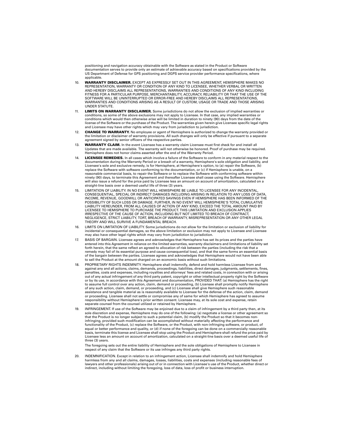positioning and navigation accuracy obtainable with the Software as stated in the Product or Software documentation serves to provide only an estimate of achievable accuracy based on specifications provided by the US Department of Defense for GPS positioning and DGPS service provider performance specifications, where applicable.

- 10. **WARRANTY DISCLAIMER.** EXCEPT AS EXPRESSLY SET OUT IN THIS AGREEMENT, HEMISPHERE MAKES NO REPRESENTATION, WARRANTY OR CONDITION OF ANY KIND TO LICENSEE, WHETHER VERBAL OR WRITTEN AND HEREBY DISCLAIMS ALL REPRESENTATIONS, WARRANTIES AND CONDITIONS OF ANY KIND INCLUDING FITNESS FOR A PARTICULAR PURPOSE, MERCHANTABILITY, ACCURACY, RELIABILITY OR THAT THE USE OF THE SOFTWARE WILL BE UNINTERRUPTED OR ERROR-FREE AND HEREBY DISCLAIMS ALL REPRESENTATIONS, WARRANTIES AND CONDITIONS ARISING AS A RESULT OF CUSTOM, USAGE OR TRADE AND THOSE ARISING UNDER STATUTE.
- 11. **LIMITS ON WARRANTY DISCLAIMER.** Some jurisdictions do not allow the exclusion of implied warranties or conditions, so some of the above exclusions may not apply to Licensee. In that case, any implied warranties or conditions which would then otherwise arise will be limited in duration to ninety (90) days from the date of the license of the Software or the purchase of the Product. The warranties given herein give Licensee specific legal rights and Licensee may have other rights which may vary from jurisdiction to jurisdiction.
- 12. **CHANGE TO WARRANTY.** No employee or agent of Hemisphere is authorized to change the warranty provided or the limitation or disclaimer of warranty provisions. All such changes will only be effective if pursuant to a separate agreement signed by senior officers of the respective parties.
- 13. **WARRANTY CLAIM.** In the event Licensee has a warranty claim Licensee must first check for and install all Updates that are made available. The warranty will not otherwise be honored. Proof of purchase may be required. Hemisphere does not honor claims asserted after the end of the Warranty Period.
- 14. **LICENSEE REMEDIES.** In all cases which involve a failure of the Software to conform in any material respect to the documentation during the Warranty Period or a breach of a warranty, Hemisphere's sole obligation and liability, and Licensee's sole and exclusive remedy, is for Hemisphere, at Hemisphere's option, to (a) repair the Software, (b) replace the Software with software conforming to the documentation, or (c) if Hemisphere is unable, on a reasonable commercial basis, to repair the Software or to replace the Software with conforming software within ninety (90) days, to terminate this Agreement and thereafter Licensee shall cease using the Software. Hemisphere will also issue a refund for the price paid by Licensee less an amount on account of amortization, calculated on a straight-line basis over a deemed useful life of three (3) years.
- 15. LIMITATION OF LIABILITY. IN NO EVENT WILL HEMISPHERE BE LIABLE TO LICENSEE FOR ANY INCIDENTAL, CONSEQUENTIAL, SPECIAL OR INDIRECT DAMAGES INCLUDING ARISING IN RELATION TO ANY LOSS OF DATA, INCOME, REVENUE, GOODWILL OR ANTICIPATED SAVINGS EVEN IF HEMISPHERE HAS BEEN INFORMED OF THE POSSIBILITY OF SUCH LOSS OR DAMAGE. FURTHER, IN NO EVENT WILL HEMISPHERE'S TOTAL CUMULATIVE LIABILITY HEREUNDER, FROM ALL CAUSES OF ACTION OF ANY KIND, EXCEED THE TOTAL AMOUNT PAID BY LICENSEE TO HEMISPHERE TO PURCHASE THE PRODUCT. THIS LIMITATION AND EXCLUSION APPLIES IRRESPECTIVE OF THE CAUSE OF ACTION, INCLUDING BUT NOT LIMITED TO BREACH OF CONTRACT, NEGLIGENCE, STRICT LIABILITY, TORT, BREACH OF WARRANTY, MISREPRESENTATION OR ANY OTHER LEGAL THEORY AND WILL SURVIVE A FUNDAMENTAL BREACH.
- 16. LIMITS ON LIMITATION OF LIABILITY. Some jurisdictions do not allow for the limitation or exclusion of liability for incidental or consequential damages, so the above limitation or exclusion may not apply to Licensee and Licensee may also have other legal rights which may vary from jurisdiction to jurisdiction.
- 17. BASIS OF BARGAIN. Licensee agrees and acknowledges that Hemisphere has set its prices and the parties have entered into this Agreement in reliance on the limited warranties, warranty disclaimers and limitations of liability set forth herein, that the same reflect an agreed-to allocation of risk between the parties (including the risk that a remedy may fail of its essential purpose and cause consequential loss), and that the same forms an essential basis of the bargain between the parties. Licensee agrees and acknowledges that Hemisphere would not have been able to sell the Product at the amount charged on an economic basis without such limitations.
- 18. PROPRIETARY RIGHTS INDEMNITY. Hemisphere shall indemnify, defend and hold harmless Licensee from and against any and all actions, claims, demands, proceedings, liabilities, direct damages, judgments, settlements, fines, penalties, costs and expenses, including royalties and attorneys' fees and related costs, in connection with or arising out of any actual infringement of any third party patent, copyright or other intellectual property right by the Software or by its use, in accordance with this Agreement and documentation, PROVIDED THAT: (a) Hemisphere has the right to assume full control over any action, claim, demand or proceeding, (b) Licensee shall promptly notify Hemisphere of any such action, claim, demand, or proceeding, and (c) Licensee shall give Hemisphere such reasonable assistance and tangible material as is reasonably available to Licensee for the defense of the action, claim, demand or proceeding. Licensee shall not settle or compromise any of same for which Hemisphere has agreed to assume responsibility without Hemisphere's prior written consent. Licensee may, at its sole cost and expense, retain separate counsel from the counsel utilized or retained by Hemisphere.
- 19. INFRINGEMENT. If use of the Software may be enjoined due to a claim of infringement by a third party then, at its sole discretion and expense, Hemisphere may do one of the following: (a) negotiate a license or other agreement so that the Product is no longer subject to such a potential claim, (b) modify the Product so that it becomes noninfringing, provided such modification can be accomplished without materially affecting the performance and functionality of the Product, (c) replace the Software, or the Product, with non-infringing software, or product, of equal or better performance and quality, or (d) if none of the foregoing can be done on a commercially reasonable basis, terminate this license and Licensee shall stop using the Product and Hemisphere shall refund the price paid by Licensee less an amount on account of amortization, calculated on a straight-line basis over a deemed useful life of three (3) years.

The foregoing sets out the entire liability of Hemisphere and the sole obligations of Hemisphere to Licensee in respect of any claim that the Software or its use infringes any third party rights.

20. INDEMNIFICATION. Except in relation to an infringement action, Licensee shall indemnify and hold Hemisphere harmless from any and all claims, damages, losses, liabilities, costs and expenses (including reasonable fees of lawyers and other professionals) arising out of or in connection with Licensee's use of the Product, whether direct or indirect, including without limiting the foregoing, loss of data, loss of profit or business interruption.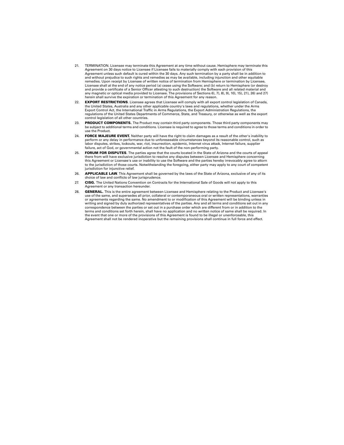- 21. TERMINATION. Licensee may terminate this Agreement at any time without cause. Hemisphere may terminate this Agreement on 30 days notice to Licensee if Licensee fails to materially comply with each provision of this Agreement unless such default is cured within the 30 days. Any such termination by a party shall be in addition to and without prejudice to such rights and remedies as may be available, including injunction and other equitable remedies. Upon receipt by Licensee of written notice of termination from Hemisphere or termination by Licensee, Licensee shall at the end of any notice period (a) cease using the Software; and (b) return to Hemisphere (or destroy and provide a certificate of a Senior Officer attesting to such destruction) the Software and all related material and any magnetic or optical media provided to Licensee. The provisions of Sections 6), 7), 8), 9), 10), 15), 21), 26) and 27) herein shall survive the expiration or termination of this Agreement for any reason.
- 22. **EXPORT RESTRICTIONS**. Licensee agrees that Licensee will comply with all export control legislation of Canada, the United States, Australia and any other applicable country's laws and regulations, whether under the Arms Export Control Act, the International Traffic in Arms Regulations, the Export Administration Regulations, the regulations of the United States Departments of Commerce, State, and Treasury, or otherwise as well as the export control legislation of all other countries.
- 23. **PRODUCT COMPONENTS.** The Product may contain third party components. Those third party components may be subject to additional terms and conditions. Licensee is required to agree to those terms and conditions in order to use the Product.
- 24. **FORCE MAJEURE EVENT.** Neither party will have the right to claim damages as a result of the other's inability to perform or any delay in performance due to unforeseeable circumstances beyond its reasonable control, such as labor disputes, strikes, lockouts, war, riot, insurrection, epidemic, Internet virus attack, Internet failure, supplier failure, act of God, or governmental action not the fault of the non-performing party.
- 25. **FORUM FOR DISPUTES**. The parties agree that the courts located in the State of Arizona and the courts of appeal there from will have exclusive jurisdiction to resolve any disputes between Licensee and Hemisphere concerning this Agreement or Licensee's use or inability to use the Software and the parties hereby irrevocably agree to attorn to the jurisdiction of those courts. Notwithstanding the foregoing, either party may apply to any court of competent jurisdiction for injunctive relief.
- 26. **APPLICABLE LAW**. This Agreement shall be governed by the laws of the State of Arizona, exclusive of any of its choice of law and conflicts of law jurisprudence.
- 27. **CISG.** The United Nations Convention on Contracts for the International Sale of Goods will not apply to this Agreement or any transaction hereunder.
- 28. **GENERAL.** This is the entire agreement between Licensee and Hemisphere relating to the Product and Licensee's use of the same, and supersedes all prior, collateral or contemporaneous oral or written representations, warranties or agreements regarding the same. No amendment to or modification of this Agreement will be binding unless in writing and signed by duly authorized representatives of the parties. Any and all terms and conditions set out in any correspondence between the parties or set out in a purchase order which are different from or in addition to the terms and conditions set forth herein, shall have no application and no written notice of same shall be required. In the event that one or more of the provisions of this Agreement is found to be illegal or unenforceable, this Agreement shall not be rendered inoperative but the remaining provisions shall continue in full force and effect.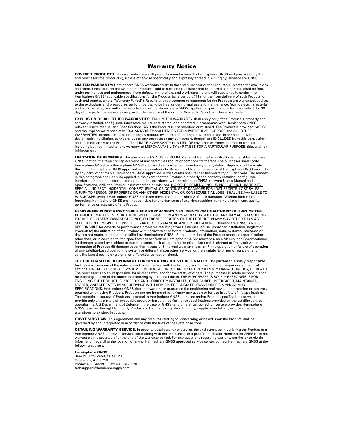### **Warranty Notice**

<span id="page-48-0"></span>**COVERED PRODUCTS:** This warranty covers all products manufactured by Hemisphere GNSS and purchased by the end purchaser (the "Products"), unless otherwise specifically and expressly agreed in writing by Hemisphere GNSS.

**LIMITED WARRANTY:** Hemisphere GNSS warrants solely to the end purchaser of the Products, subject to the exclusions and procedures set forth below, that the Products sold to such end purchaser and its internal components shall be free, under normal use and maintenance, from defects in materials, and workmanship and will substantially conform to Hemisphere GNSS' applicable specifications for the Product, for a period of 12 months from delivery of such Product to such end purchaser (the "Warranty Period"). Repairs and replacement components for the Products are warranted, subject to the exclusions and procedures set forth below, to be free, under normal use and maintenance, from defects in material and workmanship, and will substantially conform to Hemisphere GNSS' applicable specifications for the Product, for 90 days from performance or delivery, or for the balance of the original Warranty Period, whichever is greater.

**EXCLUSION OF ALL OTHER WARRANTIES.** The LIMITED WARRANTY shall apply only if the Product is properly and correctly installed, configured, interfaced, maintained, stored, and operated in accordance with Hemisphere GNSS' relevant User's Manual and Specifications, AND the Product is not modified or misused. The Product is provided "AS IS" and the implied warranties of MERCHANTABILITY and FITNESS FOR A PARTICULAR PURPOSE and ALL OTHER WARRANTIES, express, implied or arising by statute, by course of dealing or by trade usage, in connection with the design, sale, installation, service or use of any products or any component thereof, are EXCLUDED from this transaction and shall not apply to the Product. The LIMITED WARRANTY is IN LIEU OF any other warranty, express or implied, including but not limited to, any warranty of MERCHANTABILITY or FITNESS FOR A PARTICULAR PURPOSE, title, and noninfringement.

**LIMITATION OF REMEDIES.** The purchaser's EXCLUSIVE REMEDY against Hemisphere GNSS shall be, at Hemisphere GNSS' option, the repair or replacement of any defective Product or components thereof. The purchaser shall notify Hemisphere GNSS or a Hemisphere GNSS' approved service center immediately of any defect. Repairs shall be made through a Hemisphere GNSS approved service center only. Repair, modification or service of Hemisphere GNSS products by any party other than a Hemisphere GNSS approved service center shall render this warranty null and void. The remedy in this paragraph shall only be applied in the event that the Product is properly and correctly installed, configured, interfaced, maintained, stored, and operated in accordance with Hemisphere GNSS' relevant User's Manual and Specifications, AND the Product is not modified or misused. NO OTHER REMEDY (INCLUDING, BUT NOT LIMITED TO, SPECIAL, INDIRECT, INCIDENTAL, CONSEQUENTIAL OR CONTINGENT DAMAGES FOR LOST PROFITS, LOST SALES INJURY TO PERSON OR PROPERTY, OR ANY OTHER INCIDENTAL OR CONSEQUENTIAL LOSS) SHALL BE AVAILABLE TO PURCHASER, even if Hemisphere GNSS has been advised of the possibility of such damages. Without limiting the foregoing, Hemisphere GNSS shall not be liable for any damages of any kind resulting from installation, use, quality, performance or accuracy of any Product.

**HEMISPHERE IS NOT RESPONSIBLE FOR PURCHASER'S NEGLIGENCE OR UNAUTHORIZED USES OF THE PRODUCT.** IN NO EVENT SHALL HEMISPHERE GNSS BE IN ANY WAY RESPONSIBLE FOR ANY DAMAGES RESULTING FROM PURCHASER'S OWN NEGLIGENCE, OR FROM OPERATION OF THE PRODUCT IN ANY WAY OTHER THAN AS SPECIFIED IN HEMISPHERE GNSS' RELEVANT USER'S MANUAL AND SPECIFICATIONS. Hemisphere GNSS is NOT RESPONSIBLE for defects or performance problems resulting from (1) misuse, abuse, improper installation, neglect of Product; (2) the utilization of the Product with hardware or software products, information, data, systems, interfaces or devices not made, supplied or specified by Hemisphere GNSS; (3) the operation of the Product under any specification other than, or in addition to, the specifications set forth in Hemisphere GNSS' relevant User's Manual and Specifications; (4) damage caused by accident or natural events, such as lightning (or other electrical discharge) or fresh/salt water immersion of Product; (5) damage occurring in transit; (6) normal wear and tear; or (7) the operation or failure of operation of any satellite-based positioning system or differential correction service; or the availability or performance of any satellite-based positioning signal or differential correction signal.

**THE PURCHASER IS RESPONSIBLE FOR OPERATING THE VEHICLE SAFELY.** The purchaser is solely responsible for the safe operation of the vehicle used in connection with the Product, and for maintaining proper system control settings. UNSAFE DRIVING OR SYSTEM CONTROL SETTINGS CAN RESULT IN PROPERTY DAMAGE, INJURY, OR DEATH. The purchaser is solely responsible for his/her safety and for the safety of others. The purchaser is solely responsible for maintaining control of the automated steering system at all times. THE PURCHASER IS SOLELY RESPONSIBLE FOR ENSURING THE PRODUCT IS PROPERLY AND CORRECTLY INSTALLED, CONFIGURED, INTERFACED, MAINTAINED, STORED, AND OPERATED IN ACCORDANCE WITH HEMISPHERE GNSS' RELEVANT USER'S MANUAL AND SPECIFICATIONS. Hemisphere GNSS does not warrant or guarantee the positioning and navigation precision or accuracy obtained when using Products. Products are not intended for primary navigation or for use in safety of life applications. The potential accuracy of Products as stated in Hemisphere GNSS literature and/or Product specifications serves to provide only an estimate of achievable accuracy based on performance specifications provided by the satellite service operator (i.e. US Department of Defense in the case of GNSS) and differential correction service provider. Hemisphere GNSS reserves the right to modify Products without any obligation to notify, supply or install any improvements or alterations to existing Products.

**GOVERNING LAW.** This agreement and any disputes relating to, concerning or based upon the Product shall be governed by and interpreted in accordance with the laws of the State of Arizona.

**OBTAINING WARRANTY SERVICE.** In order to obtain warranty service, the end purchaser must bring the Product to a Hemisphere GNSS approved service center along with the end purchaser's proof of purchase. Hemisphere GNSS does not warrant claims asserted after the end of the warranty period. For any questions regarding warranty service or to obtain information regarding the location of any of Hemisphere GNSS approved service center, contact Hemisphere GNSS at the following address:

#### **Hemisphere GNSS**

8444 N. 90th Street, Suite 120 Scottsdale, AZ 85258 Phone: 480-348-9919 Fax: 480-348-6370 techsupport@hemispheregps.com